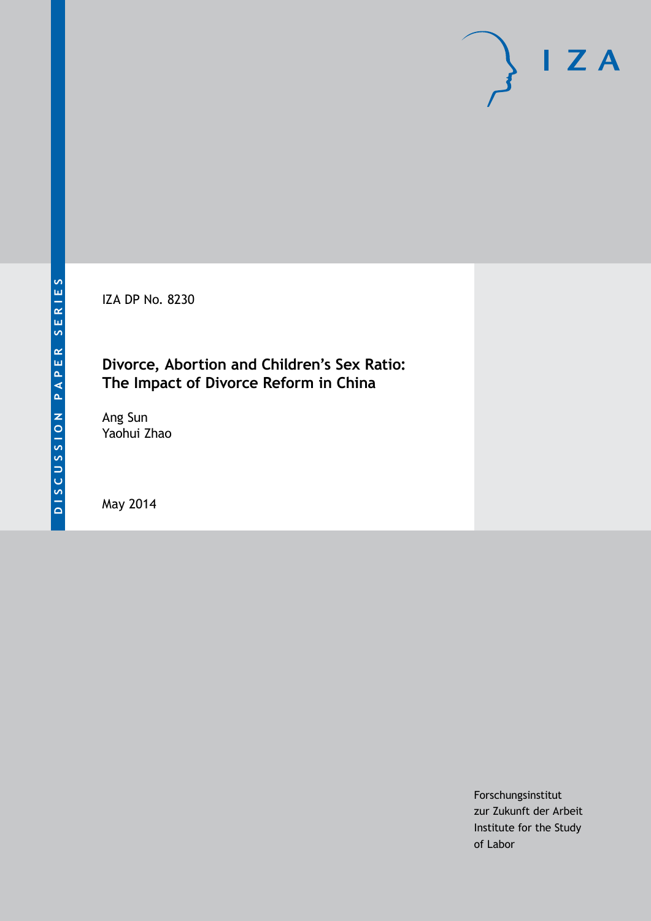IZA DP No. 8230

### **Divorce, Abortion and Children's Sex Ratio: The Impact of Divorce Reform in China**

Ang Sun Yaohui Zhao

May 2014

Forschungsinstitut zur Zukunft der Arbeit Institute for the Study of Labor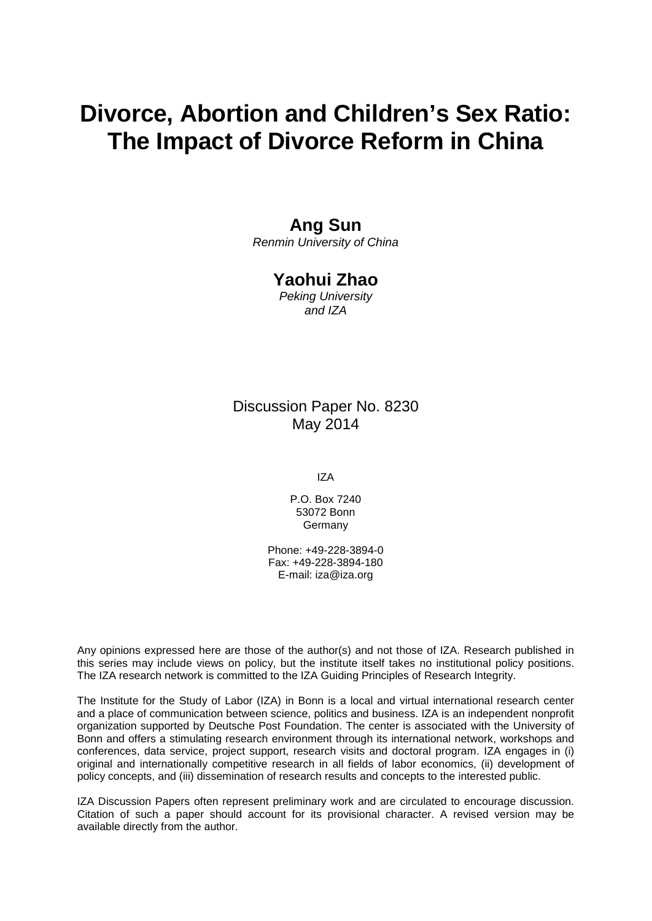# **Divorce, Abortion and Children's Sex Ratio: The Impact of Divorce Reform in China**

### **Ang Sun**

*Renmin University of China*

### **Yaohui Zhao**

*Peking University and IZA*

### Discussion Paper No. 8230 May 2014

IZA

P.O. Box 7240 53072 Bonn Germany

Phone: +49-228-3894-0 Fax: +49-228-3894-180 E-mail: [iza@iza.org](mailto:iza@iza.org)

Any opinions expressed here are those of the author(s) and not those of IZA. Research published in this series may include views on policy, but the institute itself takes no institutional policy positions. The IZA research network is committed to the IZA Guiding Principles of Research Integrity.

The Institute for the Study of Labor (IZA) in Bonn is a local and virtual international research center and a place of communication between science, politics and business. IZA is an independent nonprofit organization supported by Deutsche Post Foundation. The center is associated with the University of Bonn and offers a stimulating research environment through its international network, workshops and conferences, data service, project support, research visits and doctoral program. IZA engages in (i) original and internationally competitive research in all fields of labor economics, (ii) development of policy concepts, and (iii) dissemination of research results and concepts to the interested public.

<span id="page-1-0"></span>IZA Discussion Papers often represent preliminary work and are circulated to encourage discussion. Citation of such a paper should account for its provisional character. A revised version may be available directly from the author.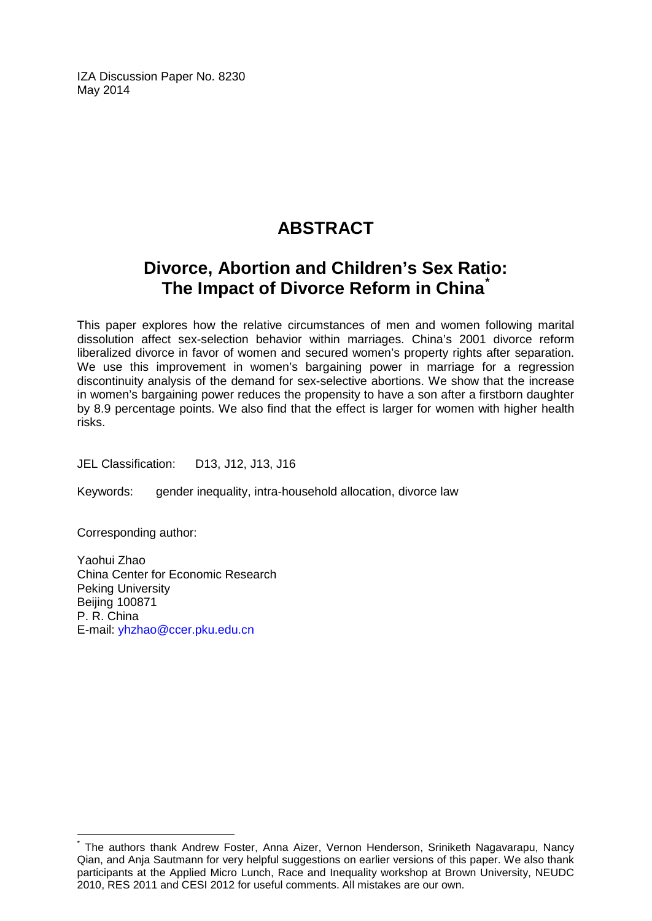IZA Discussion Paper No. 8230 May 2014

## **ABSTRACT**

## **Divorce, Abortion and Children's Sex Ratio: The Impact of Divorce Reform in China[\\*](#page-1-0)**

This paper explores how the relative circumstances of men and women following marital dissolution affect sex-selection behavior within marriages. China's 2001 divorce reform liberalized divorce in favor of women and secured women's property rights after separation. We use this improvement in women's bargaining power in marriage for a regression discontinuity analysis of the demand for sex-selective abortions. We show that the increase in women's bargaining power reduces the propensity to have a son after a firstborn daughter by 8.9 percentage points. We also find that the effect is larger for women with higher health risks.

JEL Classification: D13, J12, J13, J16

Keywords: gender inequality, intra-household allocation, divorce law

Corresponding author:

Yaohui Zhao China Center for Economic Research Peking University Beijing 100871 P. R. China E-mail: [yhzhao@ccer.pku.edu.cn](mailto:yhzhao@ccer.pku.edu.cn)

The authors thank Andrew Foster, Anna Aizer, Vernon Henderson, Sriniketh Nagavarapu, Nancy Qian, and Anja Sautmann for very helpful suggestions on earlier versions of this paper. We also thank participants at the Applied Micro Lunch, Race and Inequality workshop at Brown University, NEUDC 2010, RES 2011 and CESI 2012 for useful comments. All mistakes are our own.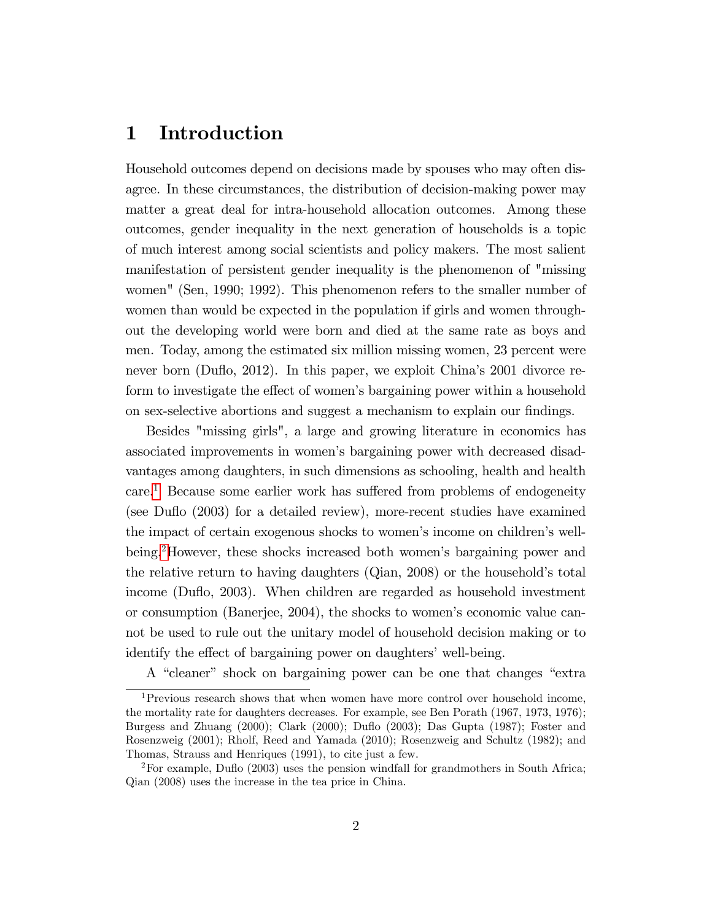### 1 Introduction

Household outcomes depend on decisions made by spouses who may often disagree. In these circumstances, the distribution of decision-making power may matter a great deal for intra-household allocation outcomes. Among these outcomes, gender inequality in the next generation of households is a topic of much interest among social scientists and policy makers. The most salient manifestation of persistent gender inequality is the phenomenon of "missing women" (Sen, 1990; 1992). This phenomenon refers to the smaller number of women than would be expected in the population if girls and women throughout the developing world were born and died at the same rate as boys and men. Today, among the estimated six million missing women, 23 percent were never born (Duflo, 2012). In this paper, we exploit China's 2001 divorce reform to investigate the effect of women's bargaining power within a household on sex-selective abortions and suggest a mechanism to explain our findings.

Besides "missing girls", a large and growing literature in economics has associated improvements in womenís bargaining power with decreased disadvantages among daughters, in such dimensions as schooling, health and health care.<sup>[1](#page-3-0)</sup> Because some earlier work has suffered from problems of endogeneity (see Duflo (2003) for a detailed review), more-recent studies have examined the impact of certain exogenous shocks to women's income on children's well-being.<sup>[2](#page-3-1)</sup>However, these shocks increased both women's bargaining power and the relative return to having daughters (Qian, 2008) or the household's total income (Duflo, 2003). When children are regarded as household investment or consumption (Banerjee, 2004), the shocks to womenís economic value cannot be used to rule out the unitary model of household decision making or to identify the effect of bargaining power on daughters' well-being.

A "cleaner" shock on bargaining power can be one that changes "extra

<span id="page-3-0"></span><sup>&</sup>lt;sup>1</sup>Previous research shows that when women have more control over household income, the mortality rate for daughters decreases. For example, see Ben Porath (1967, 1973, 1976); Burgess and Zhuang (2000); Clark (2000); Duáo (2003); Das Gupta (1987); Foster and Rosenzweig (2001); Rholf, Reed and Yamada (2010); Rosenzweig and Schultz (1982); and Thomas, Strauss and Henriques (1991), to cite just a few.

<span id="page-3-1"></span><sup>&</sup>lt;sup>2</sup>For example, Duflo (2003) uses the pension windfall for grandmothers in South Africa; Qian (2008) uses the increase in the tea price in China.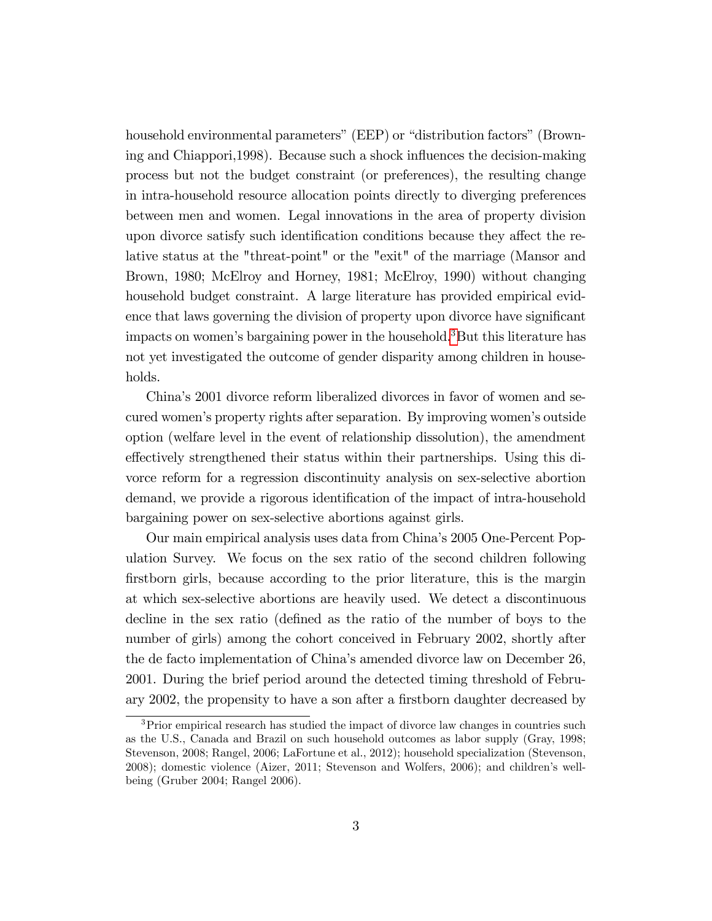household environmental parameters" (EEP) or "distribution factors" (Browning and Chiappori, 1998). Because such a shock influences the decision-making process but not the budget constraint (or preferences), the resulting change in intra-household resource allocation points directly to diverging preferences between men and women. Legal innovations in the area of property division upon divorce satisfy such identification conditions because they affect the relative status at the "threat-point" or the "exit" of the marriage (Mansor and Brown, 1980; McElroy and Horney, 1981; McElroy, 1990) without changing household budget constraint. A large literature has provided empirical evidence that laws governing the division of property upon divorce have significant impacts on women's bargaining power in the household.<sup>[3](#page-4-0)</sup>But this literature has not yet investigated the outcome of gender disparity among children in households.

Chinaís 2001 divorce reform liberalized divorces in favor of women and secured women's property rights after separation. By improving women's outside option (welfare level in the event of relationship dissolution), the amendment effectively strengthened their status within their partnerships. Using this divorce reform for a regression discontinuity analysis on sex-selective abortion demand, we provide a rigorous identification of the impact of intra-household bargaining power on sex-selective abortions against girls.

Our main empirical analysis uses data from Chinaís 2005 One-Percent Population Survey. We focus on the sex ratio of the second children following firstborn girls, because according to the prior literature, this is the margin at which sex-selective abortions are heavily used. We detect a discontinuous decline in the sex ratio (defined as the ratio of the number of boys to the number of girls) among the cohort conceived in February 2002, shortly after the de facto implementation of Chinaís amended divorce law on December 26, 2001. During the brief period around the detected timing threshold of February 2002, the propensity to have a son after a firstborn daughter decreased by

<span id="page-4-0"></span><sup>&</sup>lt;sup>3</sup>Prior empirical research has studied the impact of divorce law changes in countries such as the U.S., Canada and Brazil on such household outcomes as labor supply (Gray, 1998; Stevenson, 2008; Rangel, 2006; LaFortune et al., 2012); household specialization (Stevenson, 2008); domestic violence (Aizer, 2011; Stevenson and Wolfers, 2006); and children's wellbeing (Gruber 2004; Rangel 2006).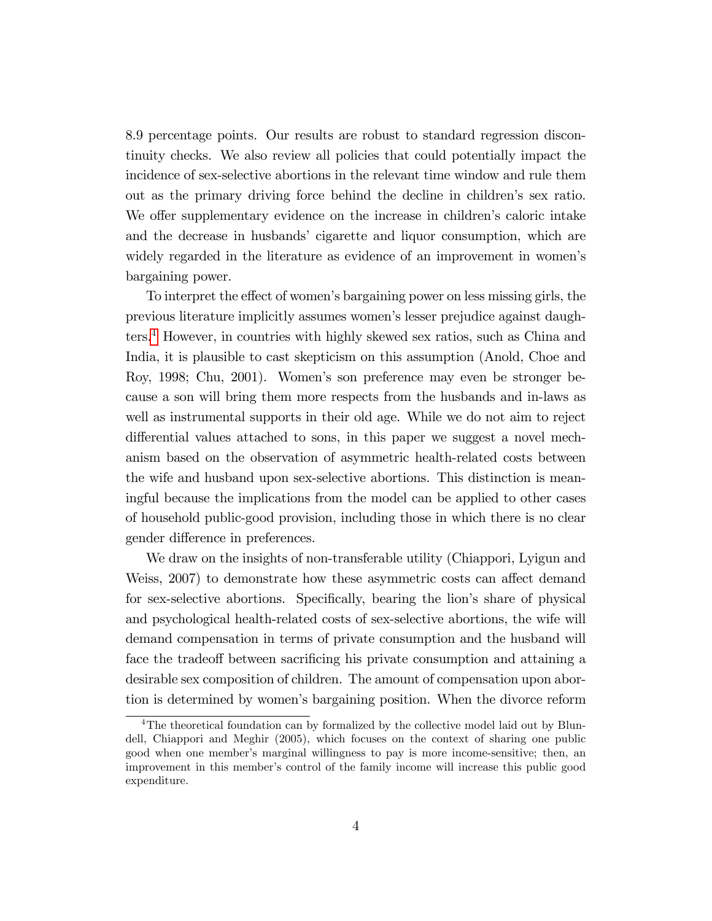8.9 percentage points. Our results are robust to standard regression discontinuity checks. We also review all policies that could potentially impact the incidence of sex-selective abortions in the relevant time window and rule them out as the primary driving force behind the decline in children's sex ratio. We offer supplementary evidence on the increase in children's caloric intake and the decrease in husbands' cigarette and liquor consumption, which are widely regarded in the literature as evidence of an improvement in women's bargaining power.

To interpret the effect of women's bargaining power on less missing girls, the previous literature implicitly assumes womenís lesser prejudice against daughters.[4](#page-5-0) However, in countries with highly skewed sex ratios, such as China and India, it is plausible to cast skepticism on this assumption (Anold, Choe and Roy, 1998; Chu, 2001). Womenís son preference may even be stronger because a son will bring them more respects from the husbands and in-laws as well as instrumental supports in their old age. While we do not aim to reject differential values attached to sons, in this paper we suggest a novel mechanism based on the observation of asymmetric health-related costs between the wife and husband upon sex-selective abortions. This distinction is meaningful because the implications from the model can be applied to other cases of household public-good provision, including those in which there is no clear gender difference in preferences.

We draw on the insights of non-transferable utility (Chiappori, Lyigun and Weiss, 2007) to demonstrate how these asymmetric costs can affect demand for sex-selective abortions. Specifically, bearing the lion's share of physical and psychological health-related costs of sex-selective abortions, the wife will demand compensation in terms of private consumption and the husband will face the tradeoff between sacrificing his private consumption and attaining a desirable sex composition of children. The amount of compensation upon abortion is determined by womenís bargaining position. When the divorce reform

<span id="page-5-0"></span><sup>&</sup>lt;sup>4</sup>The theoretical foundation can by formalized by the collective model laid out by Blundell, Chiappori and Meghir (2005), which focuses on the context of sharing one public good when one memberís marginal willingness to pay is more income-sensitive; then, an improvement in this member's control of the family income will increase this public good expenditure.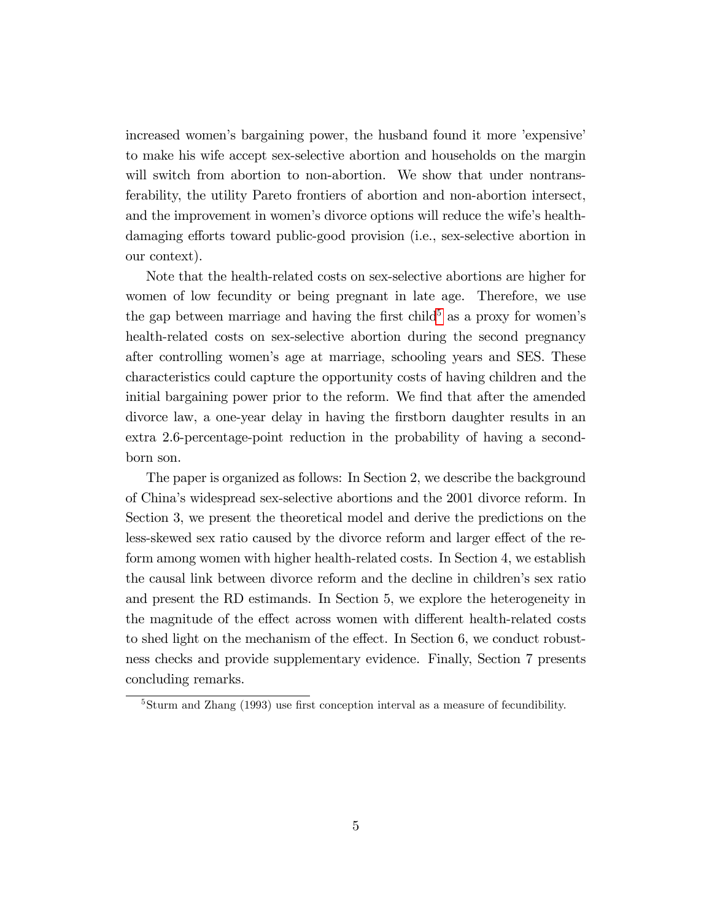increased women's bargaining power, the husband found it more 'expensive' to make his wife accept sex-selective abortion and households on the margin will switch from abortion to non-abortion. We show that under nontransferability, the utility Pareto frontiers of abortion and non-abortion intersect, and the improvement in women's divorce options will reduce the wife's healthdamaging efforts toward public-good provision (i.e., sex-selective abortion in our context).

Note that the health-related costs on sex-selective abortions are higher for women of low fecundity or being pregnant in late age. Therefore, we use the gap between marriage and having the first child<sup>[5](#page-6-0)</sup> as a proxy for women's health-related costs on sex-selective abortion during the second pregnancy after controlling womenís age at marriage, schooling years and SES. These characteristics could capture the opportunity costs of having children and the initial bargaining power prior to the reform. We find that after the amended divorce law, a one-year delay in having the Örstborn daughter results in an extra 2.6-percentage-point reduction in the probability of having a secondborn son.

The paper is organized as follows: In Section 2, we describe the background of Chinaís widespread sex-selective abortions and the 2001 divorce reform. In Section 3, we present the theoretical model and derive the predictions on the less-skewed sex ratio caused by the divorce reform and larger effect of the reform among women with higher health-related costs. In Section 4, we establish the causal link between divorce reform and the decline in children's sex ratio and present the RD estimands. In Section 5, we explore the heterogeneity in the magnitude of the effect across women with different health-related costs to shed light on the mechanism of the effect. In Section  $6$ , we conduct robustness checks and provide supplementary evidence. Finally, Section 7 presents concluding remarks.

<span id="page-6-0"></span> $5$ Sturm and Zhang (1993) use first conception interval as a measure of fecundibility.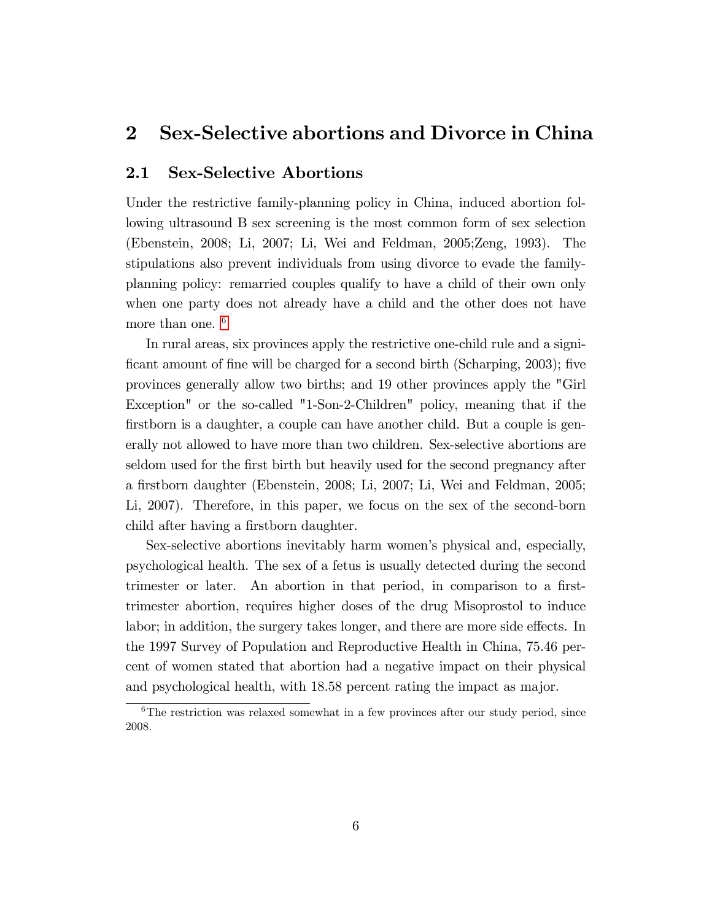### 2 Sex-Selective abortions and Divorce in China

### 2.1 Sex-Selective Abortions

Under the restrictive family-planning policy in China, induced abortion following ultrasound B sex screening is the most common form of sex selection (Ebenstein, 2008; Li, 2007; Li, Wei and Feldman, 2005;Zeng, 1993). The stipulations also prevent individuals from using divorce to evade the familyplanning policy: remarried couples qualify to have a child of their own only when one party does not already have a child and the other does not have more than one. <sup>[6](#page-7-0)</sup>

In rural areas, six provinces apply the restrictive one-child rule and a significant amount of fine will be charged for a second birth (Scharping, 2003); five provinces generally allow two births; and 19 other provinces apply the "Girl Exception" or the so-called "1-Son-2-Children" policy, meaning that if the firstborn is a daughter, a couple can have another child. But a couple is generally not allowed to have more than two children. Sex-selective abortions are seldom used for the first birth but heavily used for the second pregnancy after a Örstborn daughter (Ebenstein, 2008; Li, 2007; Li, Wei and Feldman, 2005; Li, 2007). Therefore, in this paper, we focus on the sex of the second-born child after having a firstborn daughter.

Sex-selective abortions inevitably harm womenís physical and, especially, psychological health. The sex of a fetus is usually detected during the second trimester or later. An abortion in that period, in comparison to a firsttrimester abortion, requires higher doses of the drug Misoprostol to induce labor; in addition, the surgery takes longer, and there are more side effects. In the 1997 Survey of Population and Reproductive Health in China, 75.46 percent of women stated that abortion had a negative impact on their physical and psychological health, with 18.58 percent rating the impact as major.

<span id="page-7-0"></span> $6$ The restriction was relaxed somewhat in a few provinces after our study period, since 2008.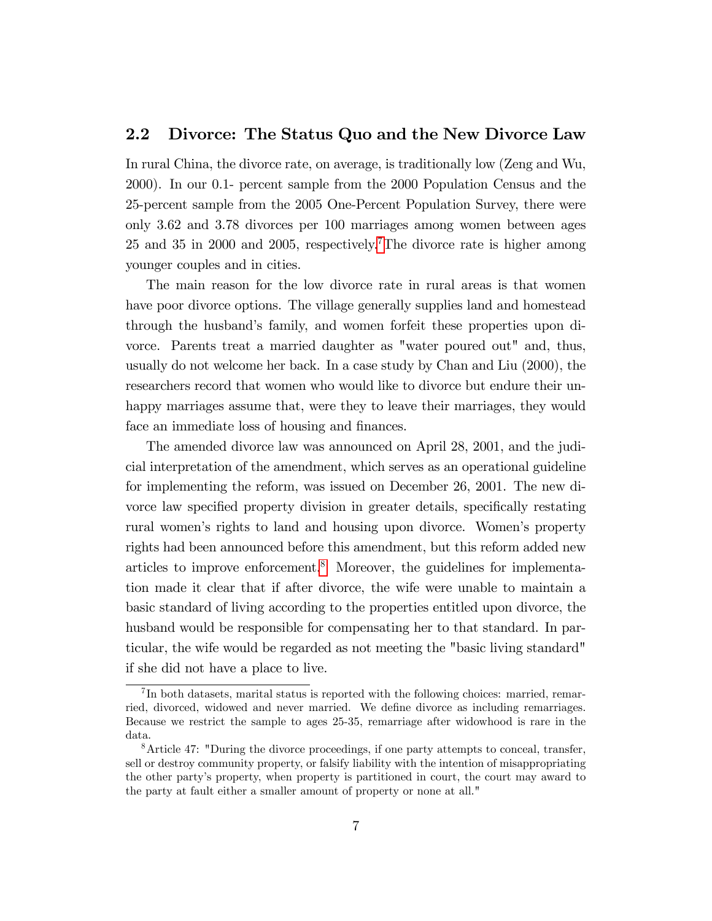### 2.2 Divorce: The Status Quo and the New Divorce Law

In rural China, the divorce rate, on average, is traditionally low (Zeng and Wu, 2000). In our 0.1- percent sample from the 2000 Population Census and the 25-percent sample from the 2005 One-Percent Population Survey, there were only 3.62 and 3.78 divorces per 100 marriages among women between ages 25 and 35 in 2000 and 2005, respectively.<sup>[7](#page-8-0)</sup>The divorce rate is higher among younger couples and in cities.

The main reason for the low divorce rate in rural areas is that women have poor divorce options. The village generally supplies land and homestead through the husband's family, and women forfeit these properties upon divorce. Parents treat a married daughter as "water poured out" and, thus, usually do not welcome her back. In a case study by Chan and Liu (2000), the researchers record that women who would like to divorce but endure their unhappy marriages assume that, were they to leave their marriages, they would face an immediate loss of housing and finances.

The amended divorce law was announced on April 28, 2001, and the judicial interpretation of the amendment, which serves as an operational guideline for implementing the reform, was issued on December 26, 2001. The new divorce law specified property division in greater details, specifically restating rural womenís rights to land and housing upon divorce. Womenís property rights had been announced before this amendment, but this reform added new articles to improve enforcement.[8](#page-8-1) Moreover, the guidelines for implementation made it clear that if after divorce, the wife were unable to maintain a basic standard of living according to the properties entitled upon divorce, the husband would be responsible for compensating her to that standard. In particular, the wife would be regarded as not meeting the "basic living standard" if she did not have a place to live.

<span id="page-8-0"></span><sup>&</sup>lt;sup>7</sup>In both datasets, marital status is reported with the following choices: married, remarried, divorced, widowed and never married. We define divorce as including remarriages. Because we restrict the sample to ages 25-35, remarriage after widowhood is rare in the data.

<span id="page-8-1"></span><sup>8</sup>Article 47: "During the divorce proceedings, if one party attempts to conceal, transfer, sell or destroy community property, or falsify liability with the intention of misappropriating the other partyís property, when property is partitioned in court, the court may award to the party at fault either a smaller amount of property or none at all."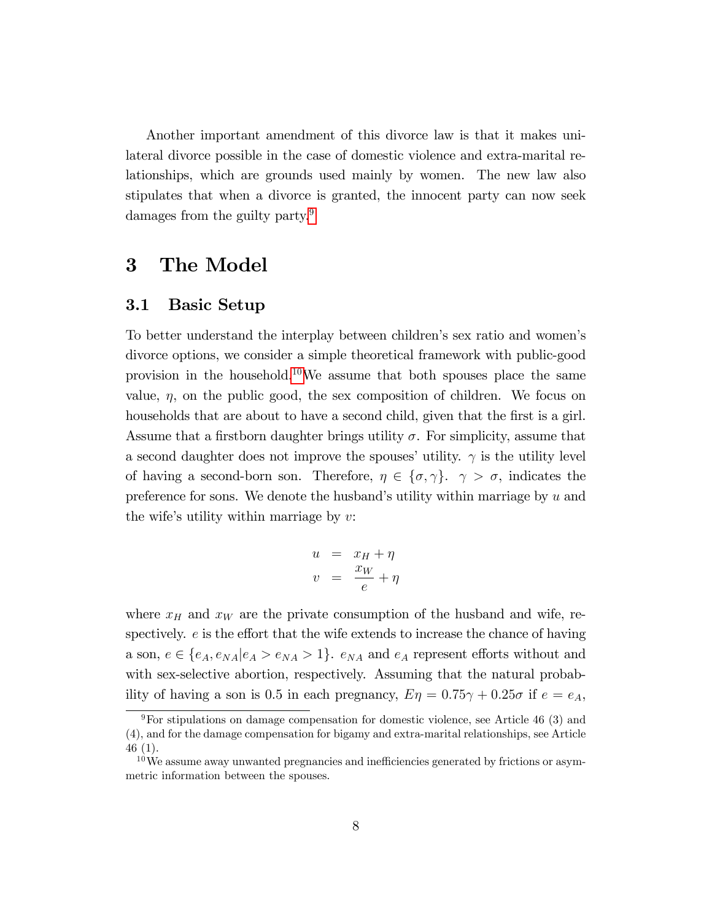Another important amendment of this divorce law is that it makes unilateral divorce possible in the case of domestic violence and extra-marital relationships, which are grounds used mainly by women. The new law also stipulates that when a divorce is granted, the innocent party can now seek damages from the guilty party.<sup>[9](#page-9-0)</sup>

### 3 The Model

### 3.1 Basic Setup

To better understand the interplay between children's sex ratio and women's divorce options, we consider a simple theoretical framework with public-good provision in the household.[10](#page-9-1)We assume that both spouses place the same value,  $\eta$ , on the public good, the sex composition of children. We focus on households that are about to have a second child, given that the first is a girl. Assume that a firstborn daughter brings utility  $\sigma$ . For simplicity, assume that a second daughter does not improve the spouses' utility.  $\gamma$  is the utility level of having a second-born son. Therefore,  $\eta \in \{\sigma, \gamma\}$ .  $\gamma > \sigma$ , indicates the preference for sons. We denote the husband's utility within marriage by  $u$  and the wife's utility within marriage by  $v$ :

$$
u = x_H + \eta
$$
  

$$
v = \frac{x_W}{e} + \eta
$$

where  $x_H$  and  $x_W$  are the private consumption of the husband and wife, respectively.  $e$  is the effort that the wife extends to increase the chance of having a son,  $e \in \{e_A, e_{NA}|e_A > e_{NA} > 1\}$ .  $e_{NA}$  and  $e_A$  represent efforts without and with sex-selective abortion, respectively. Assuming that the natural probability of having a son is 0.5 in each pregnancy,  $E \eta = 0.75 \gamma + 0.25 \sigma$  if  $e = e_A$ ,

<span id="page-9-0"></span> $9$ For stipulations on damage compensation for domestic violence, see Article 46 (3) and (4), and for the damage compensation for bigamy and extra-marital relationships, see Article 46 (1).

<span id="page-9-1"></span> $10\,\text{We assume away unwanted pregnancies and inefficiencies generated by frictions or asym-}$ metric information between the spouses.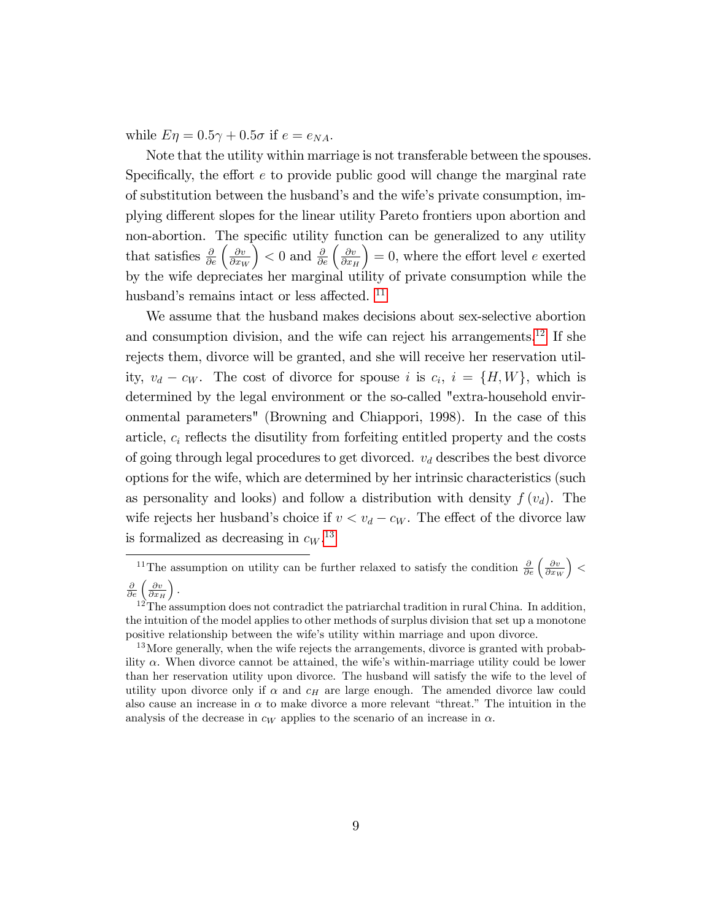while  $E \eta = 0.5\gamma + 0.5\sigma$  if  $e = e_{NA}$ .

Note that the utility within marriage is not transferable between the spouses. Specifically, the effort  $e$  to provide public good will change the marginal rate of substitution between the husband's and the wife's private consumption, implying different slopes for the linear utility Pareto frontiers upon abortion and non-abortion. The specific utility function can be generalized to any utility that satisfies  $\frac{\partial}{\partial e} \left( \frac{\partial v}{\partial x_V} \right)$  $\partial x_W$  $\left( \frac{\partial v}{\partial x} \right)$  < 0 and  $\frac{\partial}{\partial e} \left( \frac{\partial v}{\partial x} \right)$  $\partial x_H$  $= 0$ , where the effort level e exerted by the wife depreciates her marginal utility of private consumption while the husband's remains intact or less affected. <sup>[11](#page-10-0)</sup>

We assume that the husband makes decisions about sex-selective abortion and consumption division, and the wife can reject his arrangements.<sup>[12](#page-10-1)</sup> If she rejects them, divorce will be granted, and she will receive her reservation utility,  $v_d - c_W$ . The cost of divorce for spouse i is  $c_i$ ,  $i = \{H, W\}$ , which is determined by the legal environment or the so-called "extra-household environmental parameters" (Browning and Chiappori, 1998). In the case of this article,  $c_i$  reflects the disutility from forfeiting entitled property and the costs of going through legal procedures to get divorced.  $v_d$  describes the best divorce options for the wife, which are determined by her intrinsic characteristics (such as personality and looks) and follow a distribution with density  $f(v_d)$ . The wife rejects her husband's choice if  $v < v_d - c_W$ . The effect of the divorce law is formalized as decreasing in  $c_W$ .<sup>[13](#page-10-2)</sup>

<span id="page-10-0"></span><sup>&</sup>lt;sup>11</sup>The assumption on utility can be further relaxed to satisfy the condition  $\frac{\partial}{\partial e} \left( \frac{\partial v}{\partial x_W} \right)$  $\vert$  <  $\frac{\partial}{\partial e} \left( \frac{\partial v}{\partial x_H} \right)$  $\big).$ 

<span id="page-10-1"></span> $12$ <sup>The</sup> assumption does not contradict the patriarchal tradition in rural China. In addition, the intuition of the model applies to other methods of surplus division that set up a monotone positive relationship between the wifeís utility within marriage and upon divorce.

<span id="page-10-2"></span><sup>&</sup>lt;sup>13</sup>More generally, when the wife rejects the arrangements, divorce is granted with probability  $\alpha$ . When divorce cannot be attained, the wife's within-marriage utility could be lower than her reservation utility upon divorce. The husband will satisfy the wife to the level of utility upon divorce only if  $\alpha$  and  $c_H$  are large enough. The amended divorce law could also cause an increase in  $\alpha$  to make divorce a more relevant "threat." The intuition in the analysis of the decrease in  $c_W$  applies to the scenario of an increase in  $\alpha$ .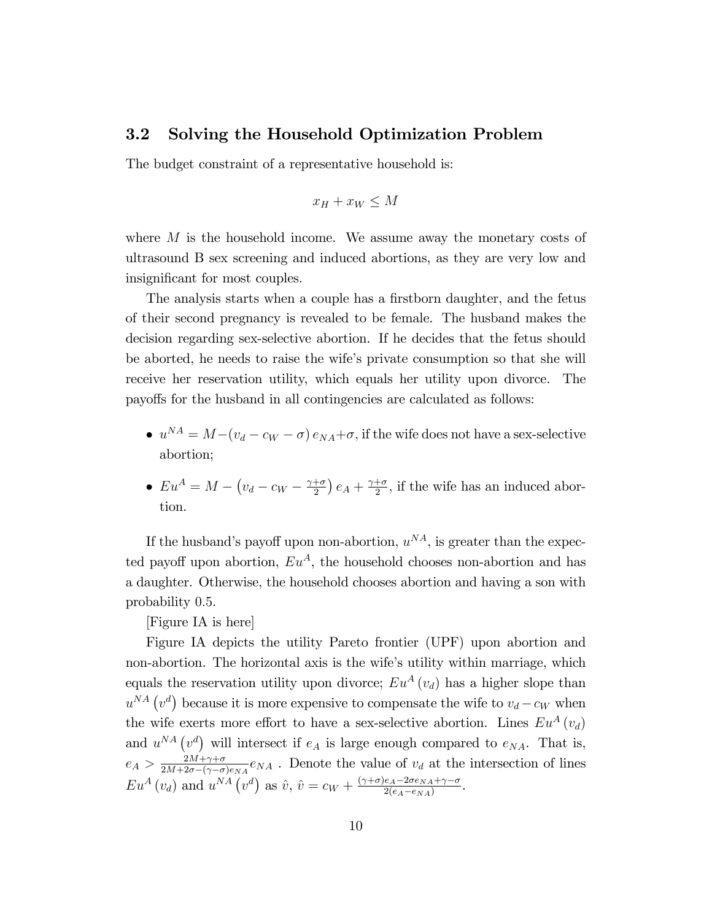### 3.2 Solving the Household Optimization Problem

The budget constraint of a representative household is:

$$
x_H + x_W \le M
$$

where  $M$  is the household income. We assume away the monetary costs of ultrasound B sex screening and induced abortions, as they are very low and insignificant for most couples.

The analysis starts when a couple has a firstborn daughter, and the fetus of their second pregnancy is revealed to be female. The husband makes the decision regarding sex-selective abortion. If he decides that the fetus should be aborted, he needs to raise the wifeís private consumption so that she will receive her reservation utility, which equals her utility upon divorce. The payoffs for the husband in all contingencies are calculated as follows:

- $u^{NA} = M (v_d c_W \sigma) e_{NA} + \sigma$ , if the wife does not have a sex-selective abortion;
- $Eu^A = M \left(v_d c_W \frac{\gamma + \sigma}{2}\right)$  $\frac{+\sigma}{2}$ )  $e_A + \frac{\gamma + \sigma}{2}$  $\frac{1-\sigma}{2}$ , if the wife has an induced abortion.

If the husband's payoff upon non-abortion,  $u^{NA}$ , is greater than the expected payoff upon abortion,  $Eu^A$ , the household chooses non-abortion and has a daughter. Otherwise, the household chooses abortion and having a son with probability 0:5.

[Figure IA is here]

Figure IA depicts the utility Pareto frontier (UPF) upon abortion and non-abortion. The horizontal axis is the wife's utility within marriage, which equals the reservation utility upon divorce;  $Eu^{A}(v_{d})$  has a higher slope than  $u^{NA} (v^d)$  because it is more expensive to compensate the wife to  $v_d - c_W$  when the wife exerts more effort to have a sex-selective abortion. Lines  $Eu^A(v_d)$ and  $u^{NA} (v^d)$  will intersect if  $e_A$  is large enough compared to  $e_{NA}$ . That is,  $e_A > \frac{2M + \gamma + \sigma}{2M + 2\sigma - (\gamma - \sigma)}$  $\frac{2M+\gamma+\sigma}{2M+2\sigma-(\gamma-\sigma)e_{NA}}e_{NA}$ . Denote the value of  $v_d$  at the intersection of lines  $Eu^{A}(v_{d})$  and  $u^{NA}(v^{d})$  as  $\hat{v}, \hat{v} = c_{W} + \frac{(\gamma + \sigma)e_{A} - 2\sigma e_{NA} + \gamma - \sigma}{2(e_{A} - e_{NA})}$  $\frac{e_A-2\sigma e_{NA}+\gamma-\sigma}{2(e_A-e_{NA})}$ .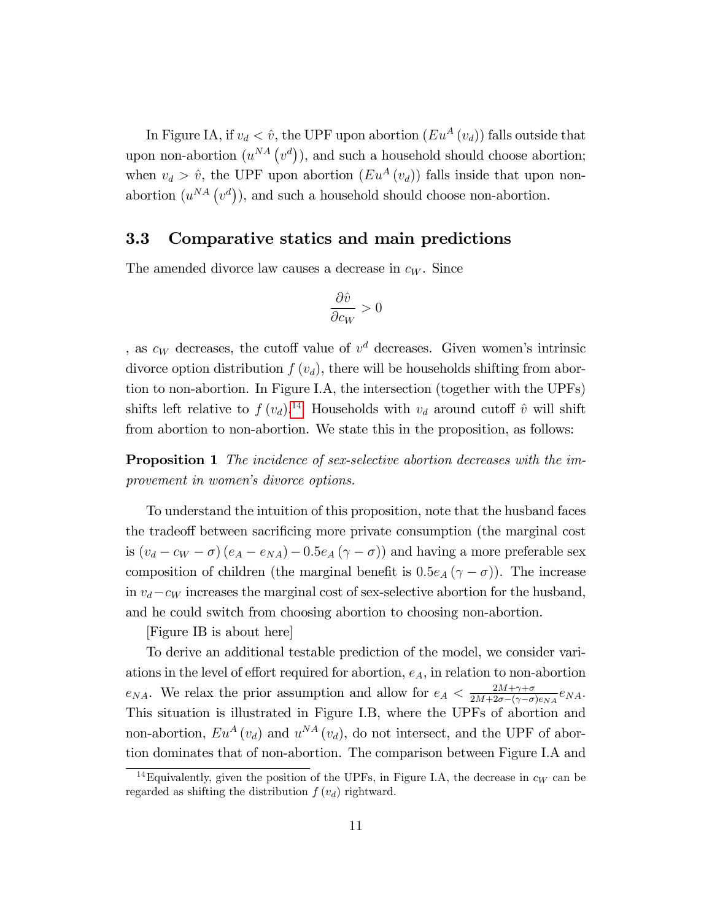In Figure IA, if  $v_d < \hat{v}$ , the UPF upon abortion  $(Eu^A (v_d))$  falls outside that upon non-abortion  $(u^{NA}(v^d))$ , and such a household should choose abortion; when  $v_d > \hat{v}$ , the UPF upon abortion  $(Eu^A (v_d))$  falls inside that upon nonabortion  $(u^{NA}(v^d))$ , and such a household should choose non-abortion.

### 3.3 Comparative statics and main predictions

The amended divorce law causes a decrease in  $c_W$ . Since

$$
\frac{\partial \hat{v}}{\partial c_W} > 0
$$

, as  $c_W$  decreases, the cutoff value of  $v^d$  decreases. Given women's intrinsic divorce option distribution  $f(v_d)$ , there will be households shifting from abortion to non-abortion. In Figure I.A, the intersection (together with the UPFs) shifts left relative to  $f(v_d)$ .<sup>[14](#page-12-0)</sup> Households with  $v_d$  around cutoff  $\hat{v}$  will shift from abortion to non-abortion. We state this in the proposition, as follows:

**Proposition 1** The incidence of sex-selective abortion decreases with the improvement in women's divorce options.

To understand the intuition of this proposition, note that the husband faces the tradeoff between sacrificing more private consumption (the marginal cost is  $(v_d - c_W - \sigma)(e_A - e_{NA}) - 0.5e_A(\gamma - \sigma)$  and having a more preferable sex composition of children (the marginal benefit is  $0.5e_A(\gamma - \sigma)$ ). The increase in  $v_d - c_W$  increases the marginal cost of sex-selective abortion for the husband, and he could switch from choosing abortion to choosing non-abortion.

[Figure IB is about here]

To derive an additional testable prediction of the model, we consider variations in the level of effort required for abortion,  $e_A$ , in relation to non-abortion  $e_{NA}$ . We relax the prior assumption and allow for  $e_A < \frac{2M+\gamma+\sigma}{2M+2\sigma-(\gamma-\sigma)}$  $\frac{2M+\gamma+\sigma}{2M+2\sigma-(\gamma-\sigma)e_{NA}}e_{NA}.$ This situation is illustrated in Figure I.B, where the UPFs of abortion and non-abortion,  $Eu^A(v_d)$  and  $u^{NA}(v_d)$ , do not intersect, and the UPF of abortion dominates that of non-abortion. The comparison between Figure I.A and

<span id="page-12-0"></span><sup>&</sup>lt;sup>14</sup>Equivalently, given the position of the UPFs, in Figure I.A, the decrease in  $c_W$  can be regarded as shifting the distribution  $f(v_d)$  rightward.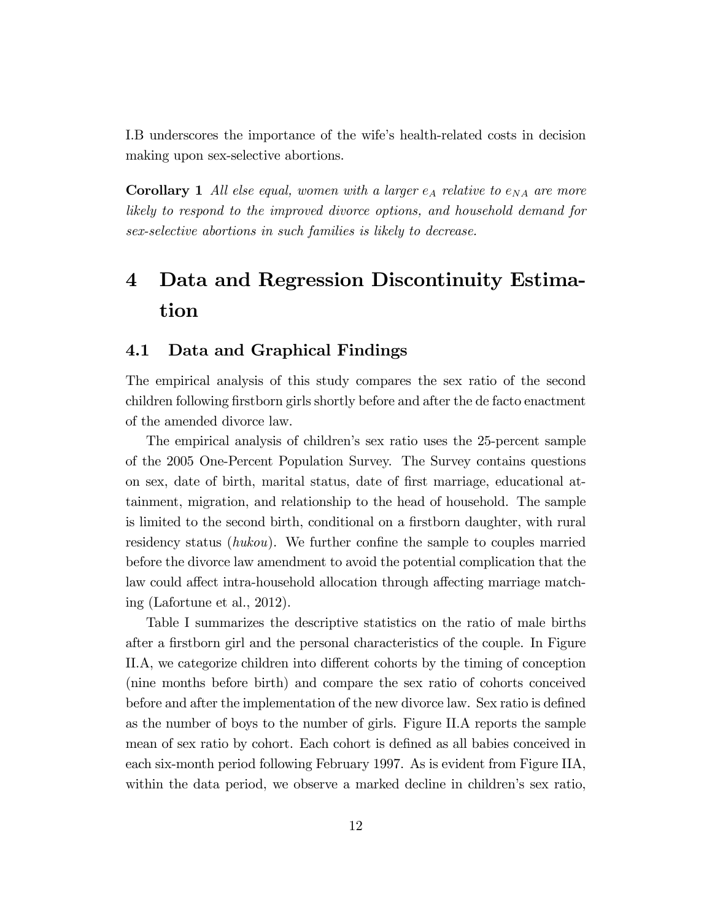I.B underscores the importance of the wife's health-related costs in decision making upon sex-selective abortions.

**Corollary 1** All else equal, women with a larger  $e_A$  relative to  $e_{NA}$  are more likely to respond to the improved divorce options, and household demand for sex-selective abortions in such families is likely to decrease.

# 4 Data and Regression Discontinuity Estimation

### 4.1 Data and Graphical Findings

The empirical analysis of this study compares the sex ratio of the second children following firstborn girls shortly before and after the de facto enactment of the amended divorce law.

The empirical analysis of children's sex ratio uses the 25-percent sample of the 2005 One-Percent Population Survey. The Survey contains questions on sex, date of birth, marital status, date of Örst marriage, educational attainment, migration, and relationship to the head of household. The sample is limited to the second birth, conditional on a firstborn daughter, with rural residency status ( $hukou$ ). We further confine the sample to couples married before the divorce law amendment to avoid the potential complication that the law could affect intra-household allocation through affecting marriage matching (Lafortune et al., 2012).

Table I summarizes the descriptive statistics on the ratio of male births after a firstborn girl and the personal characteristics of the couple. In Figure II.A, we categorize children into different cohorts by the timing of conception (nine months before birth) and compare the sex ratio of cohorts conceived before and after the implementation of the new divorce law. Sex ratio is defined as the number of boys to the number of girls. Figure II.A reports the sample mean of sex ratio by cohort. Each cohort is defined as all babies conceived in each six-month period following February 1997. As is evident from Figure IIA, within the data period, we observe a marked decline in children's sex ratio,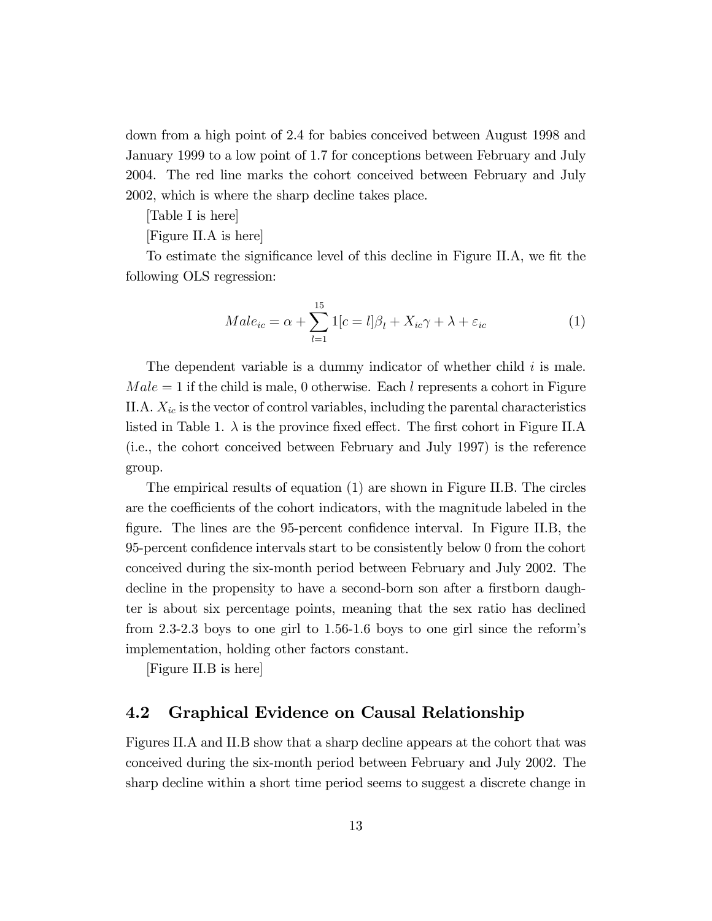down from a high point of 2.4 for babies conceived between August 1998 and January 1999 to a low point of 1.7 for conceptions between February and July 2004. The red line marks the cohort conceived between February and July 2002, which is where the sharp decline takes place.

[Table I is here]

[Figure II.A is here]

To estimate the significance level of this decline in Figure II.A, we fit the following OLS regression:

$$
Male_{ic} = \alpha + \sum_{l=1}^{15} 1[c = l] \beta_l + X_{ic} \gamma + \lambda + \varepsilon_{ic}
$$
 (1)

The dependent variable is a dummy indicator of whether child  $i$  is male.  $Male = 1$  if the child is male, 0 otherwise. Each l represents a cohort in Figure II.A.  $X_{ic}$  is the vector of control variables, including the parental characteristics listed in Table 1.  $\lambda$  is the province fixed effect. The first cohort in Figure II.A (i.e., the cohort conceived between February and July 1997) is the reference group.

The empirical results of equation (1) are shown in Figure II.B. The circles are the coefficients of the cohort indicators, with the magnitude labeled in the figure. The lines are the 95-percent confidence interval. In Figure II.B, the 95-percent confidence intervals start to be consistently below 0 from the cohort conceived during the six-month period between February and July 2002. The decline in the propensity to have a second-born son after a firstborn daughter is about six percentage points, meaning that the sex ratio has declined from 2.3-2.3 boys to one girl to 1.56-1.6 boys to one girl since the reformís implementation, holding other factors constant.

[Figure II.B is here]

### 4.2 Graphical Evidence on Causal Relationship

Figures II.A and II.B show that a sharp decline appears at the cohort that was conceived during the six-month period between February and July 2002. The sharp decline within a short time period seems to suggest a discrete change in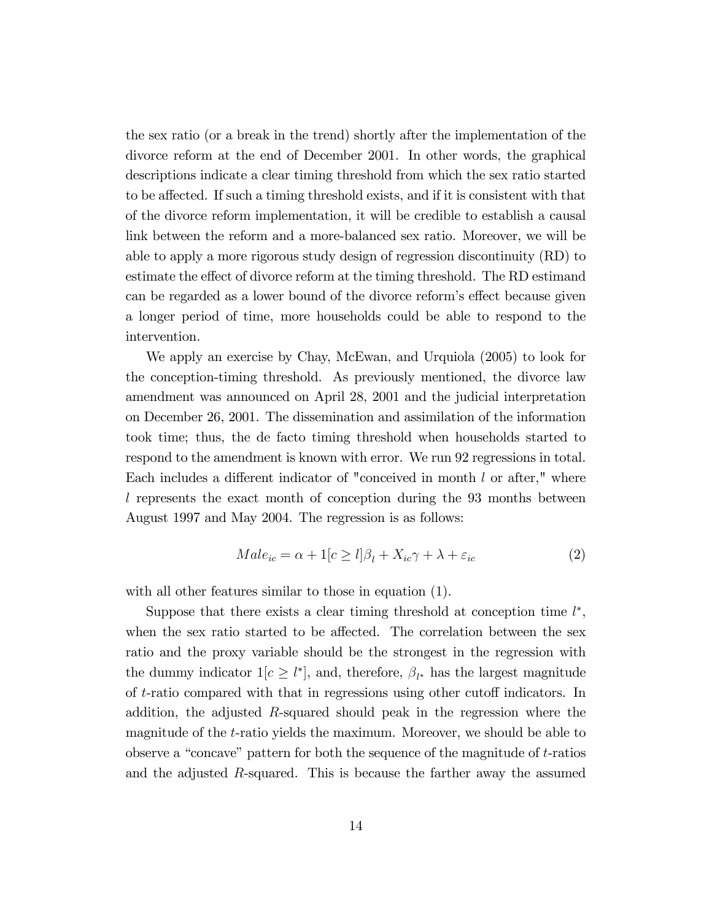the sex ratio (or a break in the trend) shortly after the implementation of the divorce reform at the end of December 2001. In other words, the graphical descriptions indicate a clear timing threshold from which the sex ratio started to be affected. If such a timing threshold exists, and if it is consistent with that of the divorce reform implementation, it will be credible to establish a causal link between the reform and a more-balanced sex ratio. Moreover, we will be able to apply a more rigorous study design of regression discontinuity (RD) to estimate the effect of divorce reform at the timing threshold. The RD estimand can be regarded as a lower bound of the divorce reform's effect because given a longer period of time, more households could be able to respond to the intervention.

We apply an exercise by Chay, McEwan, and Urquiola (2005) to look for the conception-timing threshold. As previously mentioned, the divorce law amendment was announced on April 28, 2001 and the judicial interpretation on December 26, 2001. The dissemination and assimilation of the information took time; thus, the de facto timing threshold when households started to respond to the amendment is known with error. We run 92 regressions in total. Each includes a different indicator of "conceived in month  $l$  or after," where l represents the exact month of conception during the 93 months between August 1997 and May 2004. The regression is as follows:

$$
Male_{ic} = \alpha + 1[c \ge l]\beta_l + X_{ic}\gamma + \lambda + \varepsilon_{ic}
$$
\n<sup>(2)</sup>

with all other features similar to those in equation (1).

Suppose that there exists a clear timing threshold at conception time  $l^*$ , when the sex ratio started to be affected. The correlation between the sex ratio and the proxy variable should be the strongest in the regression with the dummy indicator  $1[c \geq l^*]$ , and, therefore,  $\beta_{l^*}$  has the largest magnitude of  $t$ -ratio compared with that in regressions using other cutoff indicators. In addition, the adjusted  $R$ -squared should peak in the regression where the magnitude of the t-ratio yields the maximum. Moreover, we should be able to observe a "concave" pattern for both the sequence of the magnitude of  $t$ -ratios and the adjusted R-squared. This is because the farther away the assumed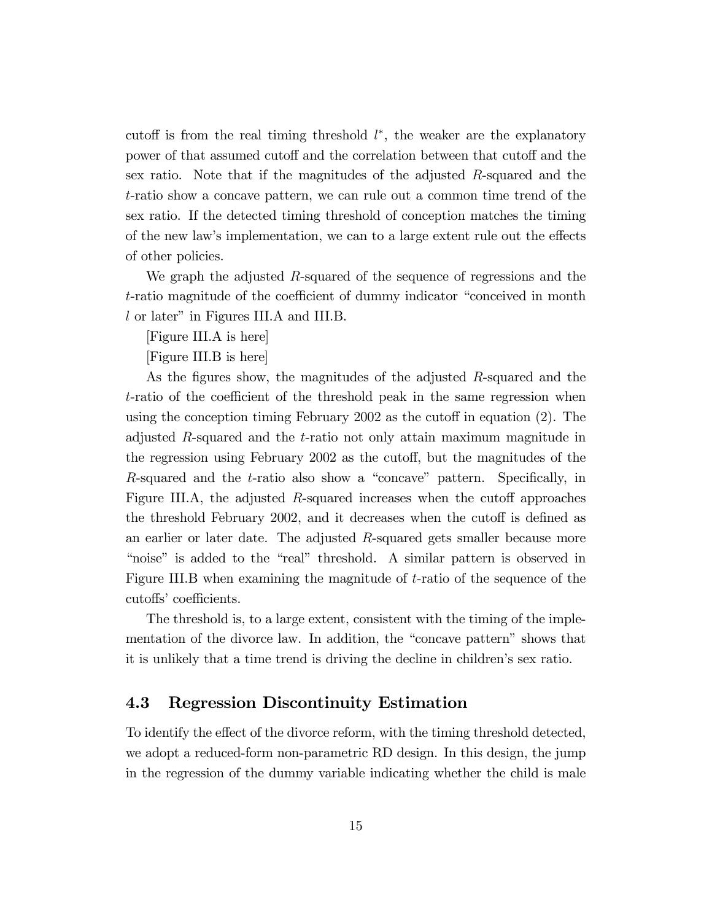cutoff is from the real timing threshold  $l^*$ , the weaker are the explanatory power of that assumed cutoff and the correlation between that cutoff and the sex ratio. Note that if the magnitudes of the adjusted R-squared and the t-ratio show a concave pattern, we can rule out a common time trend of the sex ratio. If the detected timing threshold of conception matches the timing of the new law's implementation, we can to a large extent rule out the effects of other policies.

We graph the adjusted  $R$ -squared of the sequence of regressions and the t-ratio magnitude of the coefficient of dummy indicator "conceived in month"  $l$  or later" in Figures III.A and III.B.

[Figure III.A is here]

[Figure III.B is here]

As the figures show, the magnitudes of the adjusted R-squared and the  $t$ -ratio of the coefficient of the threshold peak in the same regression when using the conception timing February 2002 as the cutoff in equation  $(2)$ . The adjusted R-squared and the t-ratio not only attain maximum magnitude in the regression using February 2002 as the cutoff, but the magnitudes of the R-squared and the  $t$ -ratio also show a "concave" pattern. Specifically, in Figure III.A, the adjusted R-squared increases when the cutoff approaches the threshold February 2002, and it decreases when the cutoff is defined as an earlier or later date. The adjusted R-squared gets smaller because more "noise" is added to the "real" threshold. A similar pattern is observed in Figure III.B when examining the magnitude of  $t$ -ratio of the sequence of the cutoffs' coefficients.

The threshold is, to a large extent, consistent with the timing of the implementation of the divorce law. In addition, the "concave pattern" shows that it is unlikely that a time trend is driving the decline in children's sex ratio.

### 4.3 Regression Discontinuity Estimation

To identify the effect of the divorce reform, with the timing threshold detected, we adopt a reduced-form non-parametric RD design. In this design, the jump in the regression of the dummy variable indicating whether the child is male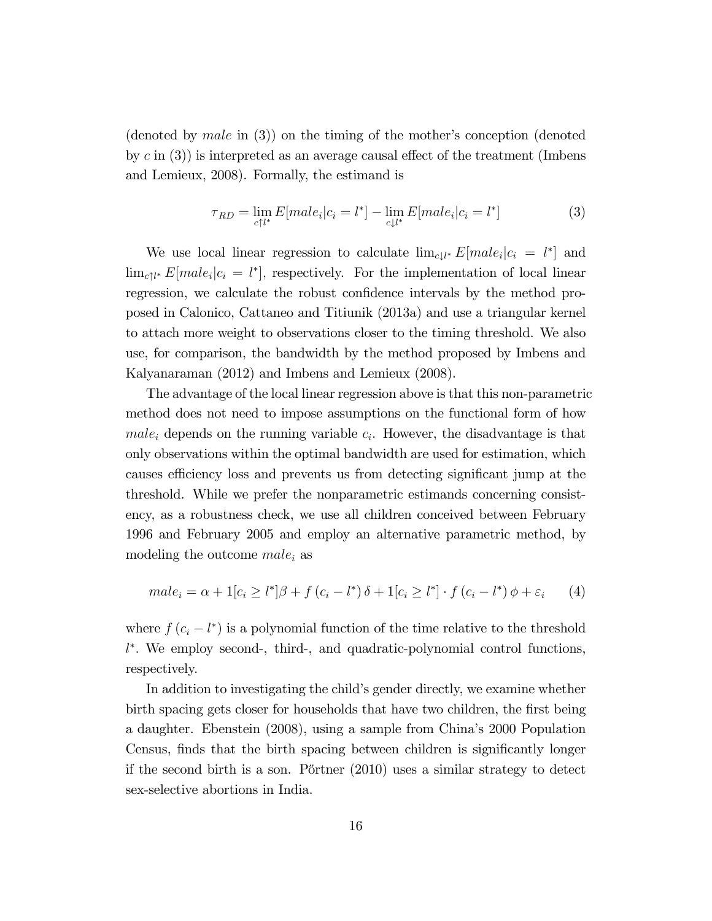(denoted by *male* in  $(3)$ ) on the timing of the mother's conception (denoted by  $c$  in  $(3)$ ) is interpreted as an average causal effect of the treatment (Imbens and Lemieux, 2008). Formally, the estimand is

$$
\tau_{RD} = \lim_{c \uparrow l^*} E[male_i|c_i = l^*] - \lim_{c \downarrow l^*} E[male_i|c_i = l^*]
$$
\n(3)

We use local linear regression to calculate  $\lim_{c \downarrow l^*} E[male_i] c_i = l^*$  and  $\lim_{c \uparrow l^*} E[male_i | c_i = l^*],$  respectively. For the implementation of local linear regression, we calculate the robust confidence intervals by the method proposed in Calonico, Cattaneo and Titiunik (2013a) and use a triangular kernel to attach more weight to observations closer to the timing threshold. We also use, for comparison, the bandwidth by the method proposed by Imbens and Kalyanaraman (2012) and Imbens and Lemieux (2008).

The advantage of the local linear regression above is that this non-parametric method does not need to impose assumptions on the functional form of how  $male<sub>i</sub>$  depends on the running variable  $c<sub>i</sub>$ . However, the disadvantage is that only observations within the optimal bandwidth are used for estimation, which causes efficiency loss and prevents us from detecting significant jump at the threshold. While we prefer the nonparametric estimands concerning consistency, as a robustness check, we use all children conceived between February 1996 and February 2005 and employ an alternative parametric method, by modeling the outcome  $male_i$  as

$$
male_i = \alpha + 1[c_i \ge l^*] \beta + f(c_i - l^*) \delta + 1[c_i \ge l^*] \cdot f(c_i - l^*) \phi + \varepsilon_i \tag{4}
$$

where  $f(c_i - l^*)$  is a polynomial function of the time relative to the threshold  $l^*$ . We employ second-, third-, and quadratic-polynomial control functions, respectively.

In addition to investigating the child's gender directly, we examine whether birth spacing gets closer for households that have two children, the first being a daughter. Ebenstein (2008), using a sample from Chinaís 2000 Population Census, finds that the birth spacing between children is significantly longer if the second birth is a son. P"ortner  $(2010)$  uses a similar strategy to detect sex-selective abortions in India.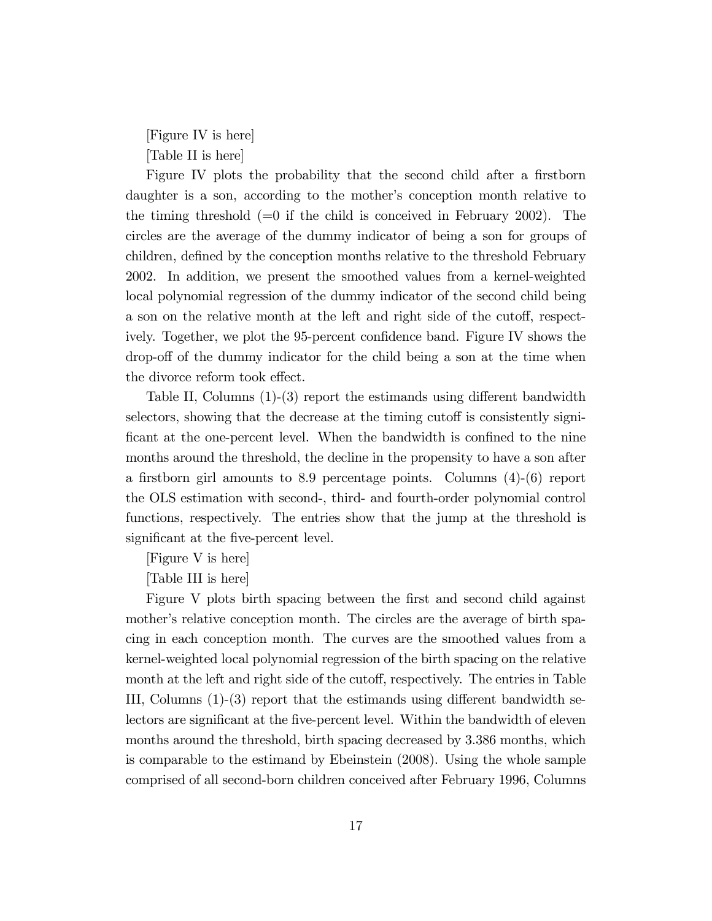[Figure IV is here] [Table II is here]

Figure IV plots the probability that the second child after a firstborn daughter is a son, according to the mother's conception month relative to the timing threshold  $(=0$  if the child is conceived in February 2002). The circles are the average of the dummy indicator of being a son for groups of children, defined by the conception months relative to the threshold February 2002. In addition, we present the smoothed values from a kernel-weighted local polynomial regression of the dummy indicator of the second child being a son on the relative month at the left and right side of the cutoff, respectively. Together, we plot the 95-percent confidence band. Figure IV shows the drop-off of the dummy indicator for the child being a son at the time when the divorce reform took effect.

Table II, Columns  $(1)-(3)$  report the estimands using different bandwidth selectors, showing that the decrease at the timing cutoff is consistently significant at the one-percent level. When the bandwidth is confined to the nine months around the threshold, the decline in the propensity to have a son after a firstborn girl amounts to 8.9 percentage points. Columns  $(4)-(6)$  report the OLS estimation with second-, third- and fourth-order polynomial control functions, respectively. The entries show that the jump at the threshold is significant at the five-percent level.

[Figure V is here]

[Table III is here]

Figure V plots birth spacing between the first and second child against mother's relative conception month. The circles are the average of birth spacing in each conception month. The curves are the smoothed values from a kernel-weighted local polynomial regression of the birth spacing on the relative month at the left and right side of the cutoff, respectively. The entries in Table III, Columns  $(1)-(3)$  report that the estimands using different bandwidth selectors are significant at the five-percent level. Within the bandwidth of eleven months around the threshold, birth spacing decreased by 3.386 months, which is comparable to the estimand by Ebeinstein (2008). Using the whole sample comprised of all second-born children conceived after February 1996, Columns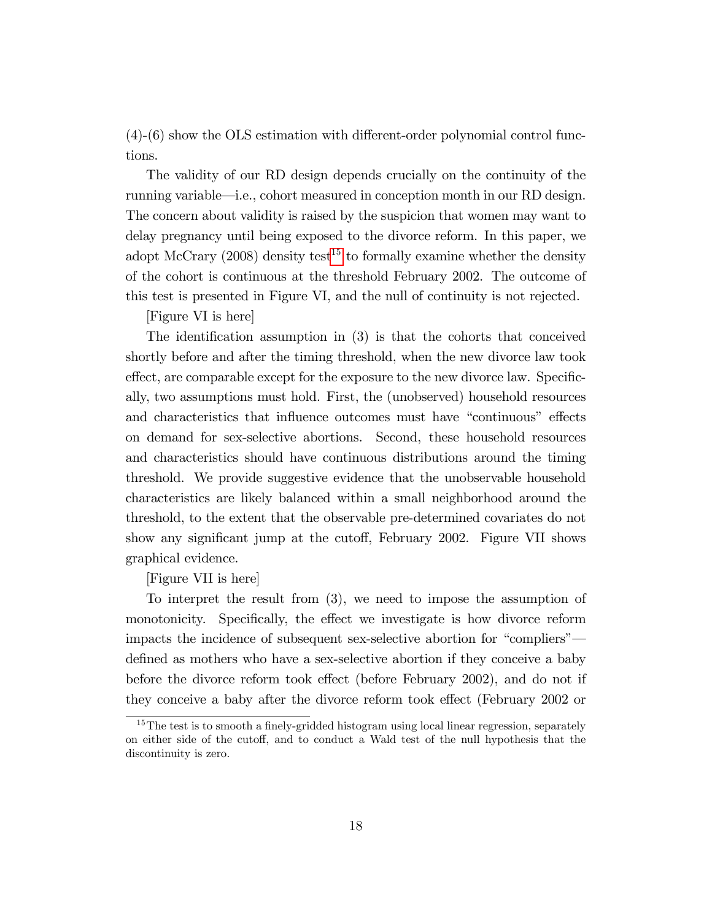$(4)-(6)$  show the OLS estimation with different-order polynomial control functions.

The validity of our RD design depends crucially on the continuity of the running variable—i.e., cohort measured in conception month in our RD design. The concern about validity is raised by the suspicion that women may want to delay pregnancy until being exposed to the divorce reform. In this paper, we adopt McCrary (2008) density test<sup>[15](#page-19-0)</sup> to formally examine whether the density of the cohort is continuous at the threshold February 2002. The outcome of this test is presented in Figure VI, and the null of continuity is not rejected.

[Figure VI is here]

The identification assumption in  $(3)$  is that the cohorts that conceived shortly before and after the timing threshold, when the new divorce law took effect, are comparable except for the exposure to the new divorce law. Specifically, two assumptions must hold. First, the (unobserved) household resources and characteristics that influence outcomes must have "continuous" effects on demand for sex-selective abortions. Second, these household resources and characteristics should have continuous distributions around the timing threshold. We provide suggestive evidence that the unobservable household characteristics are likely balanced within a small neighborhood around the threshold, to the extent that the observable pre-determined covariates do not show any significant jump at the cutoff, February 2002. Figure VII shows graphical evidence.

[Figure VII is here]

To interpret the result from (3), we need to impose the assumption of monotonicity. Specifically, the effect we investigate is how divorce reform impacts the incidence of subsequent sex-selective abortion for "compliers" defined as mothers who have a sex-selective abortion if they conceive a baby before the divorce reform took effect (before February 2002), and do not if they conceive a baby after the divorce reform took effect (February 2002 or

<span id="page-19-0"></span> $15$ The test is to smooth a finely-gridded histogram using local linear regression, separately on either side of the cutoff, and to conduct a Wald test of the null hypothesis that the discontinuity is zero.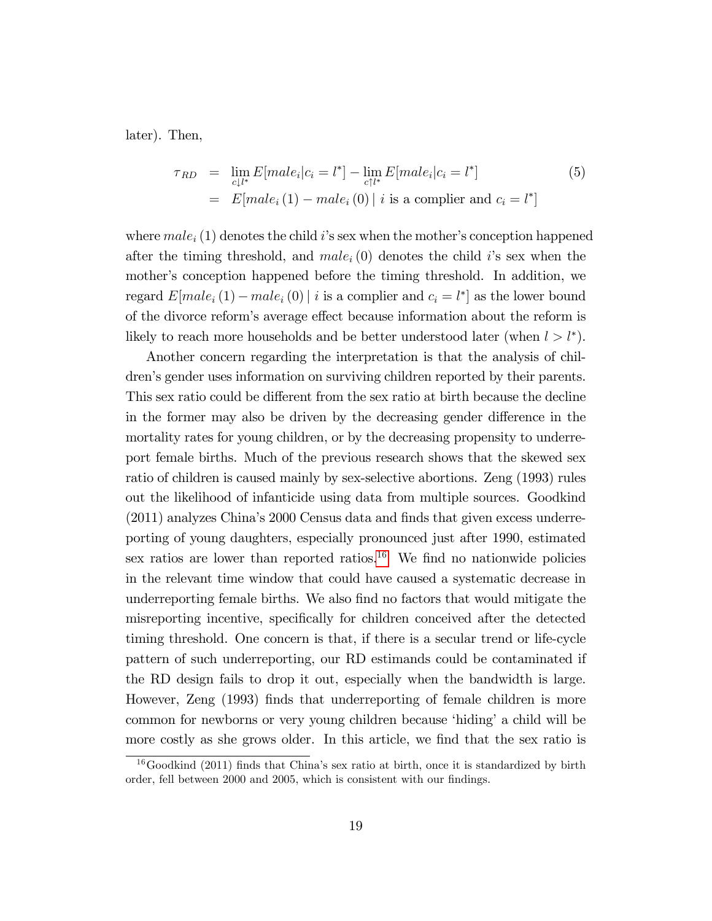later). Then,

$$
\tau_{RD} = \lim_{c \downarrow l^*} E[male_i|c_i = l^*] - \lim_{c \uparrow l^*} E[male_i|c_i = l^*]
$$
\n
$$
= E[male_i(1) - male_i(0) | i \text{ is a compiler and } c_i = l^*]
$$
\n(5)

where  $male_i(1)$  denotes the child i's sex when the mother's conception happened after the timing threshold, and  $male<sub>i</sub>(0)$  denotes the child *i*'s sex when the mother's conception happened before the timing threshold. In addition, we regard  $E[male_i(1) - male_i(0)]$  *i* is a complier and  $c_i = l^*$  as the lower bound of the divorce reform's average effect because information about the reform is likely to reach more households and be better understood later (when  $l > l^*$ ).

Another concern regarding the interpretation is that the analysis of children's gender uses information on surviving children reported by their parents. This sex ratio could be different from the sex ratio at birth because the decline in the former may also be driven by the decreasing gender difference in the mortality rates for young children, or by the decreasing propensity to underreport female births. Much of the previous research shows that the skewed sex ratio of children is caused mainly by sex-selective abortions. Zeng (1993) rules out the likelihood of infanticide using data from multiple sources. Goodkind  $(2011)$  analyzes China's 2000 Census data and finds that given excess underreporting of young daughters, especially pronounced just after 1990, estimated sex ratios are lower than reported ratios.<sup>[16](#page-20-0)</sup> We find no nationwide policies in the relevant time window that could have caused a systematic decrease in underreporting female births. We also find no factors that would mitigate the misreporting incentive, specifically for children conceived after the detected timing threshold. One concern is that, if there is a secular trend or life-cycle pattern of such underreporting, our RD estimands could be contaminated if the RD design fails to drop it out, especially when the bandwidth is large. However, Zeng (1993) finds that underreporting of female children is more common for newborns or very young children because 'hiding' a child will be more costly as she grows older. In this article, we find that the sex ratio is

<span id="page-20-0"></span> $16$ Goodkind (2011) finds that China's sex ratio at birth, once it is standardized by birth order, fell between 2000 and 2005, which is consistent with our findings.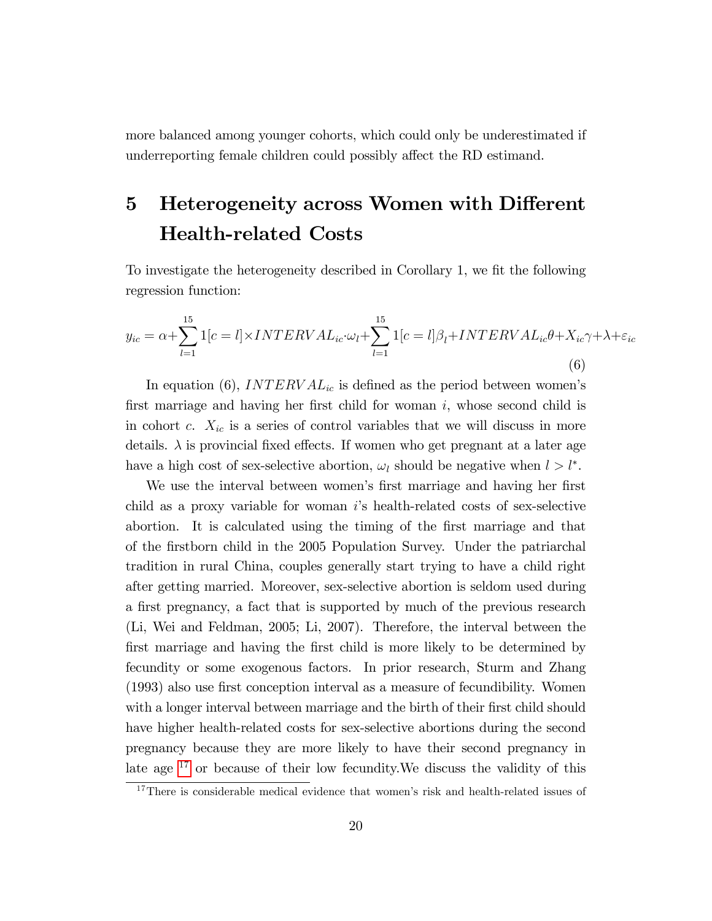more balanced among younger cohorts, which could only be underestimated if underreporting female children could possibly affect the RD estimand.

# 5 Heterogeneity across Women with Different Health-related Costs

To investigate the heterogeneity described in Corollary 1, we fit the following regression function:

$$
y_{ic} = \alpha + \sum_{l=1}^{15} 1[c = l] \times INTERVAL_{ic} \cdot \omega_l + \sum_{l=1}^{15} 1[c = l] \beta_l + INTERVAL_{ic}\theta + X_{ic}\gamma + \lambda + \varepsilon_{ic}
$$
\n(6)

In equation (6), INTERV  $AL_{ic}$  is defined as the period between women's first marriage and having her first child for woman  $i$ , whose second child is in cohort c.  $X_{ic}$  is a series of control variables that we will discuss in more details.  $\lambda$  is provincial fixed effects. If women who get pregnant at a later age have a high cost of sex-selective abortion,  $\omega_l$  should be negative when  $l > l^*$ .

We use the interval between women's first marriage and having her first child as a proxy variable for woman  $i$ 's health-related costs of sex-selective abortion. It is calculated using the timing of the Örst marriage and that of the Örstborn child in the 2005 Population Survey. Under the patriarchal tradition in rural China, couples generally start trying to have a child right after getting married. Moreover, sex-selective abortion is seldom used during a first pregnancy, a fact that is supported by much of the previous research (Li, Wei and Feldman, 2005; Li, 2007). Therefore, the interval between the first marriage and having the first child is more likely to be determined by fecundity or some exogenous factors. In prior research, Sturm and Zhang (1993) also use first conception interval as a measure of fecundibility. Women with a longer interval between marriage and the birth of their first child should have higher health-related costs for sex-selective abortions during the second pregnancy because they are more likely to have their second pregnancy in late age [17](#page-21-0) or because of their low fecundity.We discuss the validity of this

<span id="page-21-0"></span> $17$ There is considerable medical evidence that women's risk and health-related issues of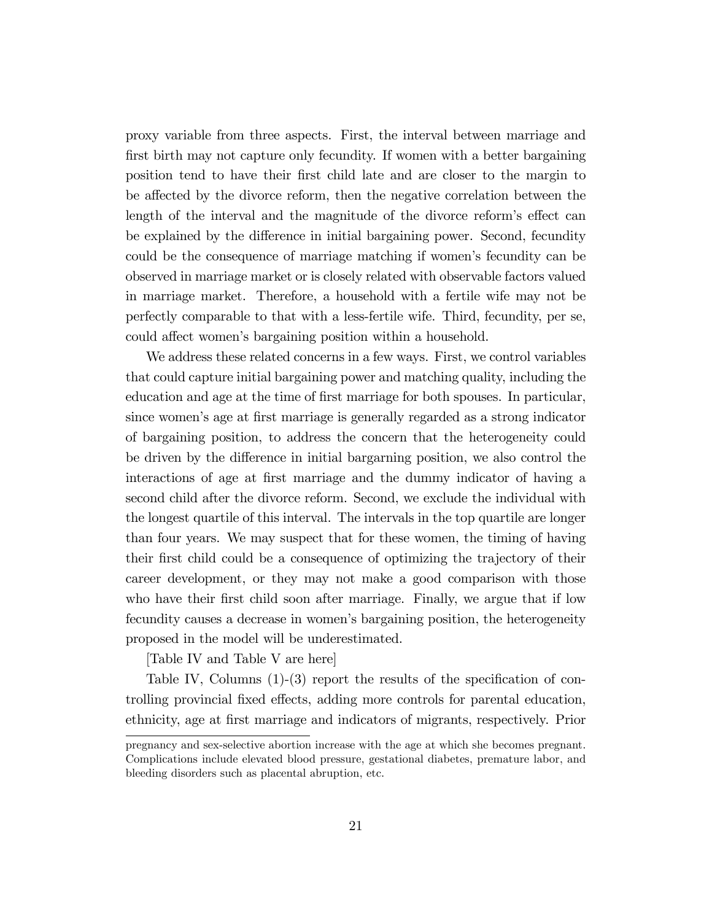proxy variable from three aspects. First, the interval between marriage and first birth may not capture only fecundity. If women with a better bargaining position tend to have their Örst child late and are closer to the margin to be affected by the divorce reform, then the negative correlation between the length of the interval and the magnitude of the divorce reform's effect can be explained by the difference in initial bargaining power. Second, fecundity could be the consequence of marriage matching if women's fecundity can be observed in marriage market or is closely related with observable factors valued in marriage market. Therefore, a household with a fertile wife may not be perfectly comparable to that with a less-fertile wife. Third, fecundity, per se, could affect women's bargaining position within a household.

We address these related concerns in a few ways. First, we control variables that could capture initial bargaining power and matching quality, including the education and age at the time of first marriage for both spouses. In particular, since women's age at first marriage is generally regarded as a strong indicator of bargaining position, to address the concern that the heterogeneity could be driven by the difference in initial bargarning position, we also control the interactions of age at first marriage and the dummy indicator of having a second child after the divorce reform. Second, we exclude the individual with the longest quartile of this interval. The intervals in the top quartile are longer than four years. We may suspect that for these women, the timing of having their first child could be a consequence of optimizing the trajectory of their career development, or they may not make a good comparison with those who have their first child soon after marriage. Finally, we argue that if low fecundity causes a decrease in women's bargaining position, the heterogeneity proposed in the model will be underestimated.

[Table IV and Table V are here]

Table IV, Columns  $(1)-(3)$  report the results of the specification of controlling provincial fixed effects, adding more controls for parental education, ethnicity, age at Örst marriage and indicators of migrants, respectively. Prior

pregnancy and sex-selective abortion increase with the age at which she becomes pregnant. Complications include elevated blood pressure, gestational diabetes, premature labor, and bleeding disorders such as placental abruption, etc.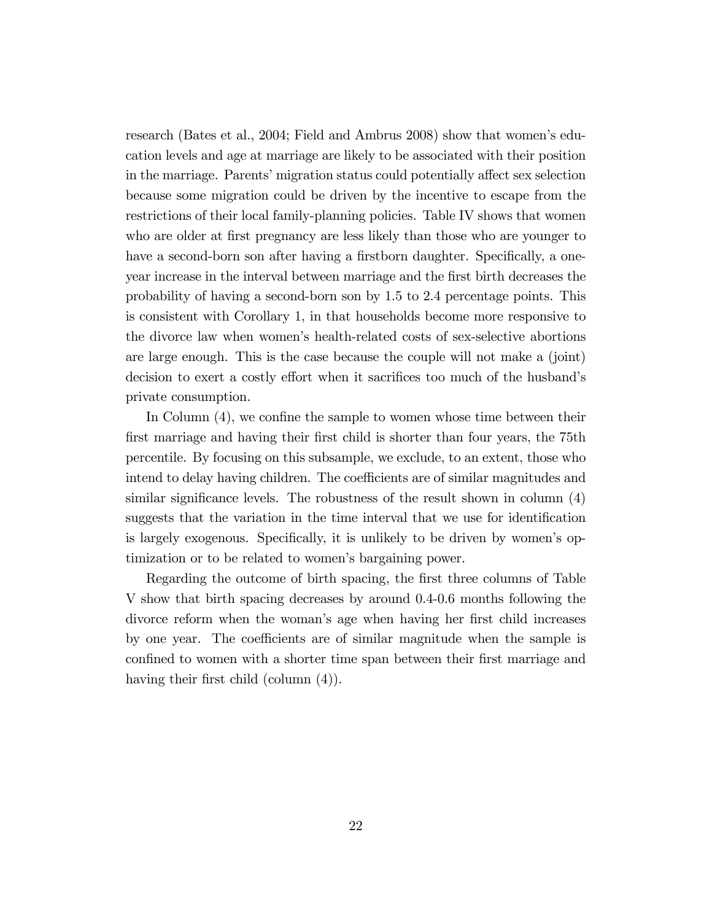research (Bates et al., 2004; Field and Ambrus 2008) show that womenís education levels and age at marriage are likely to be associated with their position in the marriage. Parents' migration status could potentially affect sex selection because some migration could be driven by the incentive to escape from the restrictions of their local family-planning policies. Table IV shows that women who are older at first pregnancy are less likely than those who are younger to have a second-born son after having a firstborn daughter. Specifically, a oneyear increase in the interval between marriage and the Örst birth decreases the probability of having a second-born son by 1.5 to 2.4 percentage points. This is consistent with Corollary 1, in that households become more responsive to the divorce law when womenís health-related costs of sex-selective abortions are large enough. This is the case because the couple will not make a (joint) decision to exert a costly effort when it sacrifices too much of the husband's private consumption.

In Column  $(4)$ , we confine the sample to women whose time between their first marriage and having their first child is shorter than four years, the 75th percentile. By focusing on this subsample, we exclude, to an extent, those who intend to delay having children. The coefficients are of similar magnitudes and similar significance levels. The robustness of the result shown in column  $(4)$ suggests that the variation in the time interval that we use for identification is largely exogenous. Specifically, it is unlikely to be driven by women's optimization or to be related to women's bargaining power.

Regarding the outcome of birth spacing, the first three columns of Table V show that birth spacing decreases by around 0.4-0.6 months following the divorce reform when the woman's age when having her first child increases by one year. The coefficients are of similar magnitude when the sample is confined to women with a shorter time span between their first marriage and having their first child (column  $(4)$ ).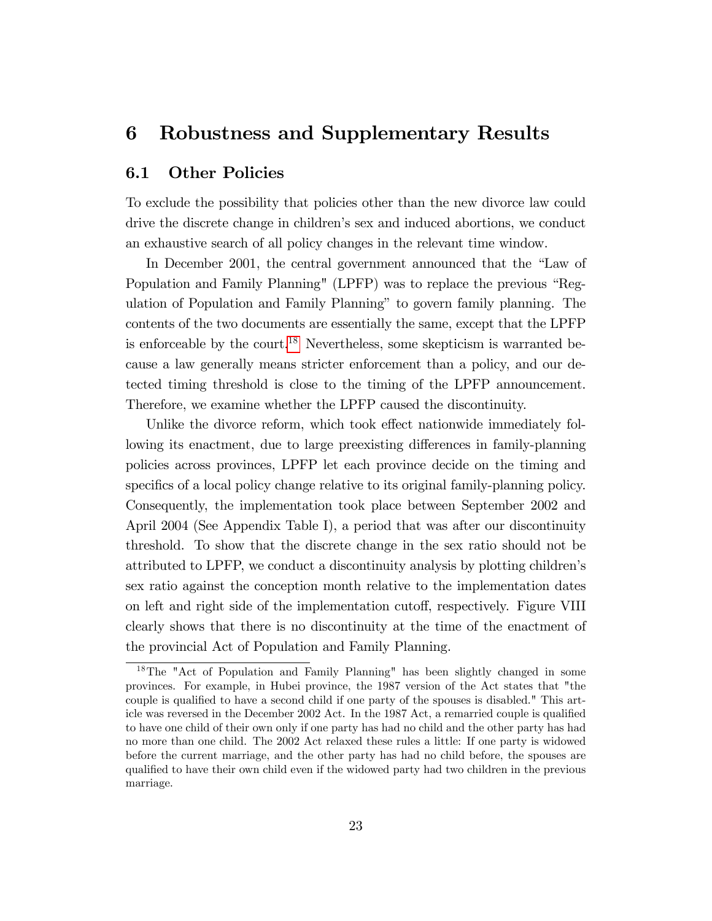### 6 Robustness and Supplementary Results

### 6.1 Other Policies

To exclude the possibility that policies other than the new divorce law could drive the discrete change in children's sex and induced abortions, we conduct an exhaustive search of all policy changes in the relevant time window.

In December 2001, the central government announced that the "Law of Population and Family Planning" (LPFP) was to replace the previous "Regulation of Population and Family Planningî to govern family planning. The contents of the two documents are essentially the same, except that the LPFP is enforceable by the court.<sup>[18](#page-24-0)</sup> Nevertheless, some skepticism is warranted because a law generally means stricter enforcement than a policy, and our detected timing threshold is close to the timing of the LPFP announcement. Therefore, we examine whether the LPFP caused the discontinuity.

Unlike the divorce reform, which took effect nationwide immediately following its enactment, due to large preexisting differences in family-planning policies across provinces, LPFP let each province decide on the timing and specifics of a local policy change relative to its original family-planning policy. Consequently, the implementation took place between September 2002 and April 2004 (See Appendix Table I), a period that was after our discontinuity threshold. To show that the discrete change in the sex ratio should not be attributed to LPFP, we conduct a discontinuity analysis by plotting childrenís sex ratio against the conception month relative to the implementation dates on left and right side of the implementation cutoff, respectively. Figure VIII clearly shows that there is no discontinuity at the time of the enactment of the provincial Act of Population and Family Planning.

<span id="page-24-0"></span><sup>18</sup>The "Act of Population and Family Planning" has been slightly changed in some provinces. For example, in Hubei province, the 1987 version of the Act states that "the couple is qualified to have a second child if one party of the spouses is disabled." This article was reversed in the December 2002 Act. In the 1987 Act, a remarried couple is qualified to have one child of their own only if one party has had no child and the other party has had no more than one child. The 2002 Act relaxed these rules a little: If one party is widowed before the current marriage, and the other party has had no child before, the spouses are qualified to have their own child even if the widowed party had two children in the previous marriage.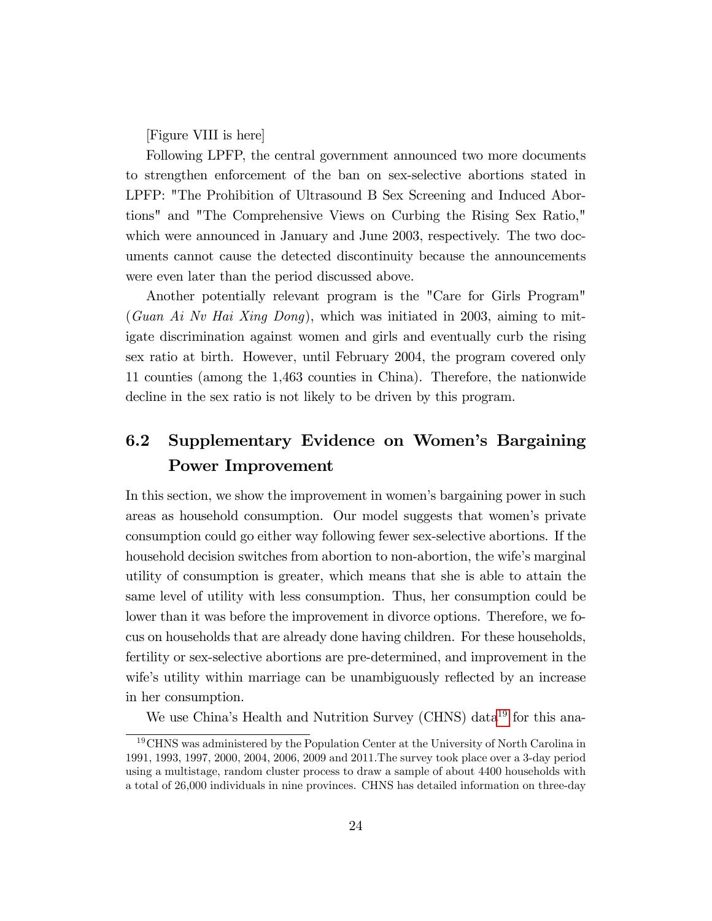[Figure VIII is here]

Following LPFP, the central government announced two more documents to strengthen enforcement of the ban on sex-selective abortions stated in LPFP: "The Prohibition of Ultrasound B Sex Screening and Induced Abortions" and "The Comprehensive Views on Curbing the Rising Sex Ratio," which were announced in January and June 2003, respectively. The two documents cannot cause the detected discontinuity because the announcements were even later than the period discussed above.

Another potentially relevant program is the "Care for Girls Program" (Guan Ai Nv Hai Xing Dong), which was initiated in 2003, aiming to mitigate discrimination against women and girls and eventually curb the rising sex ratio at birth. However, until February 2004, the program covered only 11 counties (among the 1,463 counties in China). Therefore, the nationwide decline in the sex ratio is not likely to be driven by this program.

### 6.2 Supplementary Evidence on Women's Bargaining Power Improvement

In this section, we show the improvement in women's bargaining power in such areas as household consumption. Our model suggests that women's private consumption could go either way following fewer sex-selective abortions. If the household decision switches from abortion to non-abortion, the wife's marginal utility of consumption is greater, which means that she is able to attain the same level of utility with less consumption. Thus, her consumption could be lower than it was before the improvement in divorce options. Therefore, we focus on households that are already done having children. For these households, fertility or sex-selective abortions are pre-determined, and improvement in the wife's utility within marriage can be unambiguously reflected by an increase in her consumption.

We use China's Health and Nutrition Survey (CHNS) data<sup>[19](#page-25-0)</sup> for this ana-

<span id="page-25-0"></span><sup>19</sup>CHNS was administered by the Population Center at the University of North Carolina in 1991, 1993, 1997, 2000, 2004, 2006, 2009 and 2011.The survey took place over a 3-day period using a multistage, random cluster process to draw a sample of about 4400 households with a total of 26,000 individuals in nine provinces. CHNS has detailed information on three-day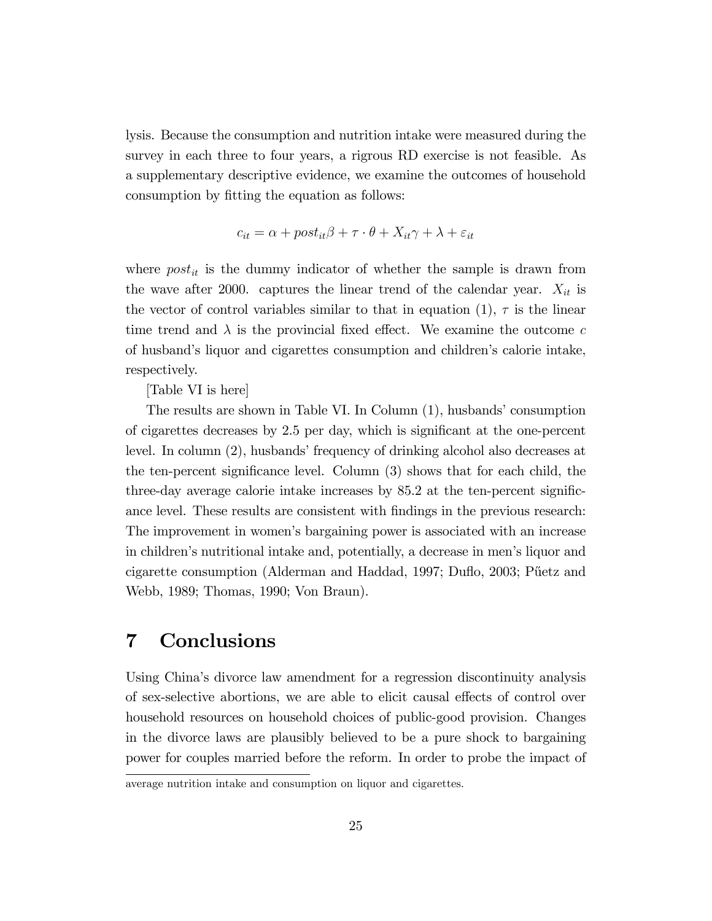lysis. Because the consumption and nutrition intake were measured during the survey in each three to four years, a rigrous RD exercise is not feasible. As a supplementary descriptive evidence, we examine the outcomes of household consumption by fitting the equation as follows:

$$
c_{it} = \alpha + post_{it}\beta + \tau \cdot \theta + X_{it}\gamma + \lambda + \varepsilon_{it}
$$

where  $post_{it}$  is the dummy indicator of whether the sample is drawn from the wave after 2000. captures the linear trend of the calendar year.  $X_{it}$  is the vector of control variables similar to that in equation  $(1)$ ,  $\tau$  is the linear time trend and  $\lambda$  is the provincial fixed effect. We examine the outcome c of husband's liquor and cigarettes consumption and children's calorie intake, respectively.

[Table VI is here]

The results are shown in Table VI. In Column  $(1)$ , husbands' consumption of cigarettes decreases by 2.5 per day, which is significant at the one-percent level. In column (2), husbands' frequency of drinking alcohol also decreases at the ten-percent significance level. Column  $(3)$  shows that for each child, the three-day average calorie intake increases by  $85.2$  at the ten-percent significance level. These results are consistent with findings in the previous research: The improvement in womenís bargaining power is associated with an increase in childrenís nutritional intake and, potentially, a decrease in menís liquor and cigarette consumption (Alderman and Haddad, 1997; Duflo, 2003; Püetz and Webb, 1989; Thomas, 1990; Von Braun).

### 7 Conclusions

Using Chinaís divorce law amendment for a regression discontinuity analysis of sex-selective abortions, we are able to elicit causal effects of control over household resources on household choices of public-good provision. Changes in the divorce laws are plausibly believed to be a pure shock to bargaining power for couples married before the reform. In order to probe the impact of

average nutrition intake and consumption on liquor and cigarettes.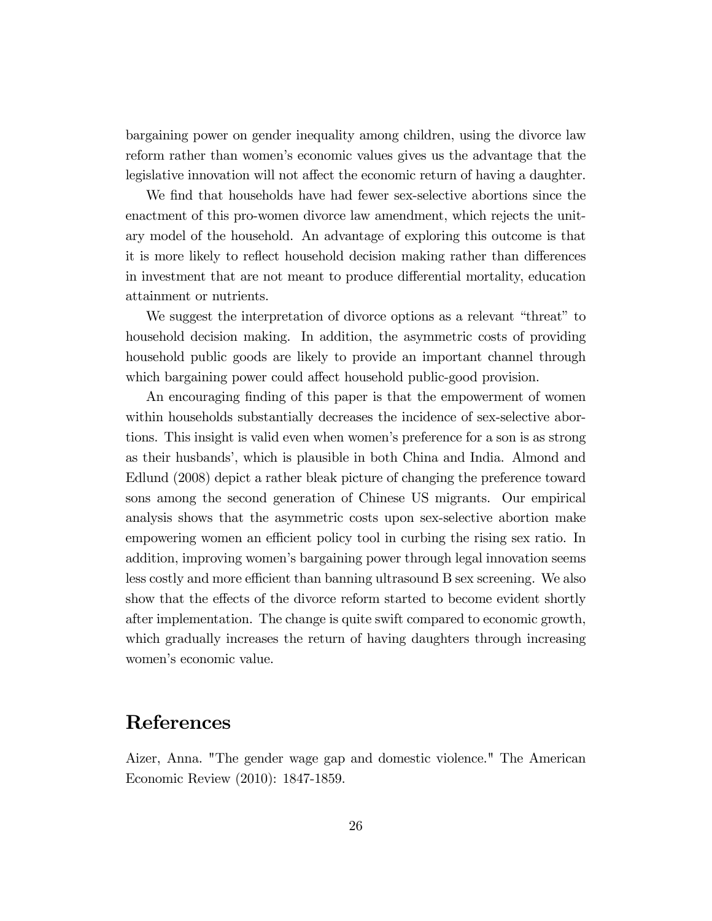bargaining power on gender inequality among children, using the divorce law reform rather than womenís economic values gives us the advantage that the legislative innovation will not affect the economic return of having a daughter.

We find that households have had fewer sex-selective abortions since the enactment of this pro-women divorce law amendment, which rejects the unitary model of the household. An advantage of exploring this outcome is that it is more likely to reflect household decision making rather than differences in investment that are not meant to produce differential mortality, education attainment or nutrients.

We suggest the interpretation of divorce options as a relevant "threat" to household decision making. In addition, the asymmetric costs of providing household public goods are likely to provide an important channel through which bargaining power could affect household public-good provision.

An encouraging finding of this paper is that the empowerment of women within households substantially decreases the incidence of sex-selective abortions. This insight is valid even when women's preference for a son is as strong as their husbandsí, which is plausible in both China and India. Almond and Edlund (2008) depict a rather bleak picture of changing the preference toward sons among the second generation of Chinese US migrants. Our empirical analysis shows that the asymmetric costs upon sex-selective abortion make empowering women an efficient policy tool in curbing the rising sex ratio. In addition, improving womenís bargaining power through legal innovation seems less costly and more efficient than banning ultrasound B sex screening. We also show that the effects of the divorce reform started to become evident shortly after implementation. The change is quite swift compared to economic growth, which gradually increases the return of having daughters through increasing women's economic value.

### References

Aizer, Anna. "The gender wage gap and domestic violence." The American Economic Review (2010): 1847-1859.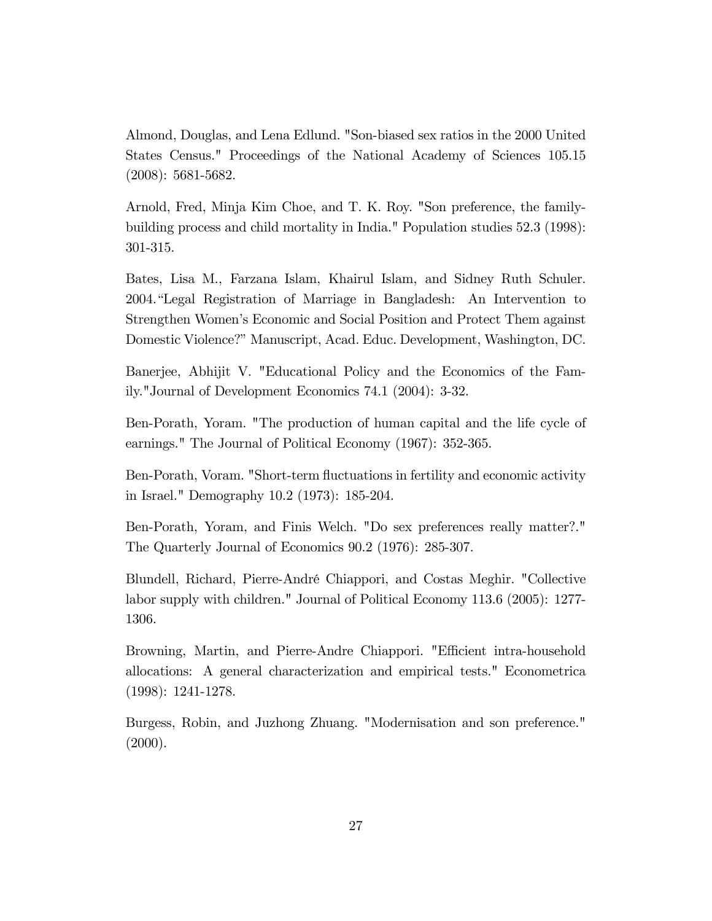Almond, Douglas, and Lena Edlund. "Son-biased sex ratios in the 2000 United States Census." Proceedings of the National Academy of Sciences 105.15 (2008): 5681-5682.

Arnold, Fred, Minja Kim Choe, and T. K. Roy. "Son preference, the familybuilding process and child mortality in India." Population studies 52.3 (1998): 301-315.

Bates, Lisa M., Farzana Islam, Khairul Islam, and Sidney Ruth Schuler. 2004. Legal Registration of Marriage in Bangladesh: An Intervention to Strengthen Women's Economic and Social Position and Protect Them against Domestic Violence?" Manuscript, Acad. Educ. Development, Washington, DC.

Banerjee, Abhijit V. "Educational Policy and the Economics of the Family."Journal of Development Economics 74.1 (2004): 3-32.

Ben-Porath, Yoram. "The production of human capital and the life cycle of earnings." The Journal of Political Economy (1967): 352-365.

Ben-Porath, Voram. "Short-term áuctuations in fertility and economic activity in Israel." Demography 10.2 (1973): 185-204.

Ben-Porath, Yoram, and Finis Welch. "Do sex preferences really matter?." The Quarterly Journal of Economics 90.2 (1976): 285-307.

Blundell, Richard, Pierre-AndrÈ Chiappori, and Costas Meghir. "Collective labor supply with children." Journal of Political Economy 113.6 (2005): 1277- 1306.

Browning, Martin, and Pierre-Andre Chiappori. "Efficient intra-household allocations: A general characterization and empirical tests." Econometrica (1998): 1241-1278.

Burgess, Robin, and Juzhong Zhuang. "Modernisation and son preference."  $(2000).$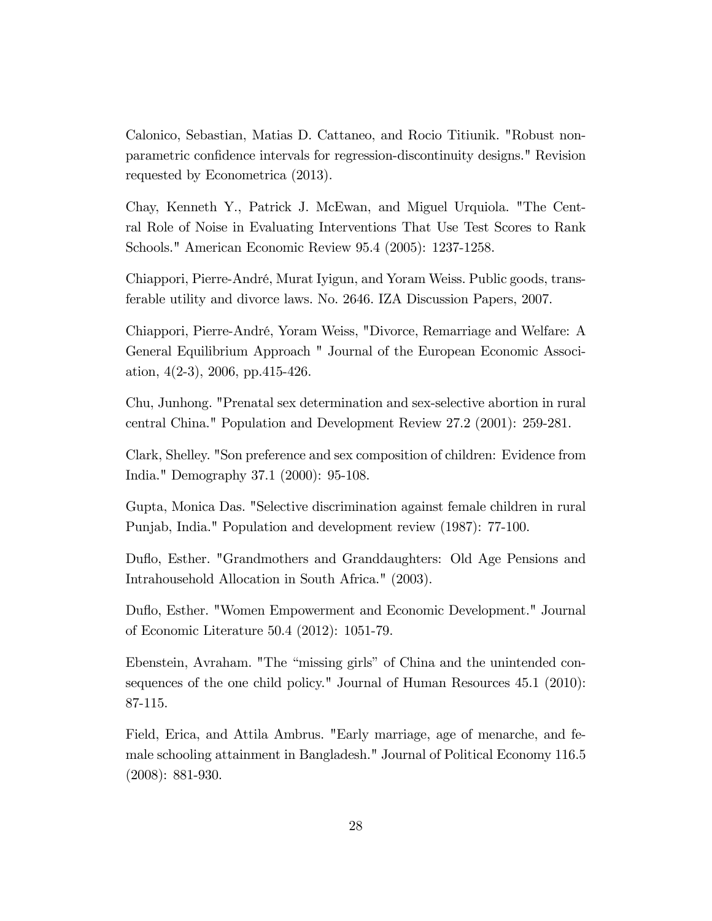Calonico, Sebastian, Matias D. Cattaneo, and Rocio Titiunik. "Robust nonparametric confidence intervals for regression-discontinuity designs." Revision requested by Econometrica (2013).

Chay, Kenneth Y., Patrick J. McEwan, and Miguel Urquiola. "The Central Role of Noise in Evaluating Interventions That Use Test Scores to Rank Schools." American Economic Review 95.4 (2005): 1237-1258.

Chiappori, Pierre-AndrÈ, Murat Iyigun, and Yoram Weiss. Public goods, transferable utility and divorce laws. No. 2646. IZA Discussion Papers, 2007.

Chiappori, Pierre-André, Yoram Weiss, "Divorce, Remarriage and Welfare: A General Equilibrium Approach " Journal of the European Economic Association,  $4(2-3)$ ,  $2006$ , pp. 415-426.

Chu, Junhong. "Prenatal sex determination and sex-selective abortion in rural central China." Population and Development Review 27.2 (2001): 259-281.

Clark, Shelley. "Son preference and sex composition of children: Evidence from India." Demography 37.1 (2000): 95-108.

Gupta, Monica Das. "Selective discrimination against female children in rural Punjab, India." Population and development review (1987): 77-100.

Duflo, Esther. "Grandmothers and Granddaughters: Old Age Pensions and Intrahousehold Allocation in South Africa." (2003).

Duflo, Esther. "Women Empowerment and Economic Development." Journal of Economic Literature 50.4 (2012): 1051-79.

Ebenstein, Avraham. "The "missing girls" of China and the unintended consequences of the one child policy." Journal of Human Resources 45.1 (2010): 87-115.

Field, Erica, and Attila Ambrus. "Early marriage, age of menarche, and female schooling attainment in Bangladesh." Journal of Political Economy 116.5 (2008): 881-930.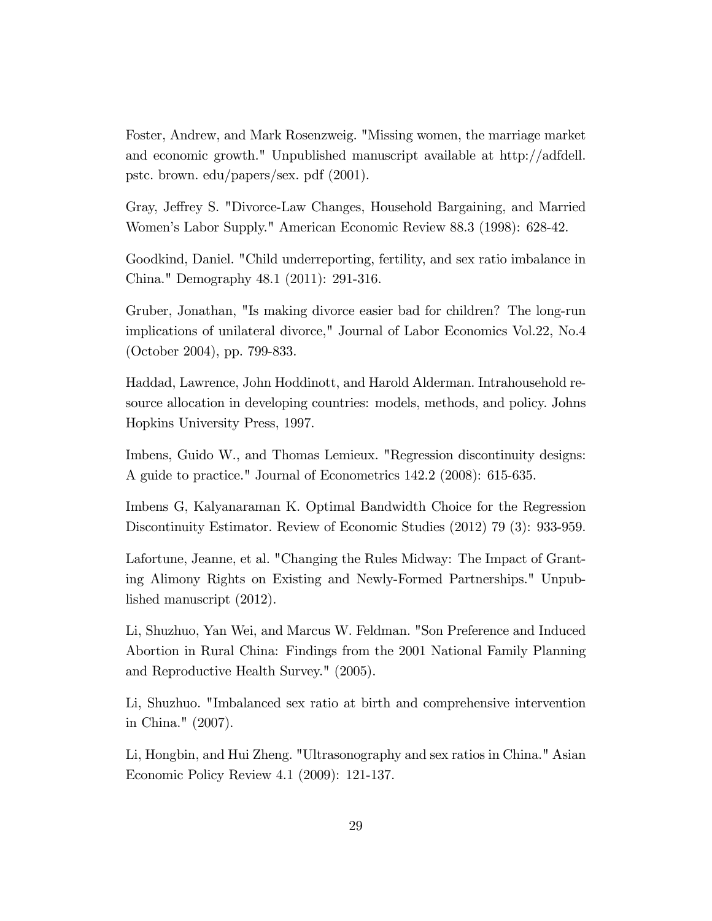Foster, Andrew, and Mark Rosenzweig. "Missing women, the marriage market and economic growth." Unpublished manuscript available at http://adfdell. pstc. brown. edu/papers/sex. pdf (2001).

Gray, Jeffrey S. "Divorce-Law Changes, Household Bargaining, and Married Womenís Labor Supply." American Economic Review 88.3 (1998): 628-42.

Goodkind, Daniel. "Child underreporting, fertility, and sex ratio imbalance in China." Demography 48.1 (2011): 291-316.

Gruber, Jonathan, "Is making divorce easier bad for children? The long-run implications of unilateral divorce," Journal of Labor Economics Vol.22, No.4 (October 2004), pp. 799-833.

Haddad, Lawrence, John Hoddinott, and Harold Alderman. Intrahousehold resource allocation in developing countries: models, methods, and policy. Johns Hopkins University Press, 1997.

Imbens, Guido W., and Thomas Lemieux. "Regression discontinuity designs: A guide to practice." Journal of Econometrics 142.2 (2008): 615-635.

Imbens G, Kalyanaraman K. Optimal Bandwidth Choice for the Regression Discontinuity Estimator. Review of Economic Studies (2012) 79 (3): 933-959.

Lafortune, Jeanne, et al. "Changing the Rules Midway: The Impact of Granting Alimony Rights on Existing and Newly-Formed Partnerships." Unpublished manuscript (2012).

Li, Shuzhuo, Yan Wei, and Marcus W. Feldman. "Son Preference and Induced Abortion in Rural China: Findings from the 2001 National Family Planning and Reproductive Health Survey." (2005).

Li, Shuzhuo. "Imbalanced sex ratio at birth and comprehensive intervention in China." (2007).

Li, Hongbin, and Hui Zheng. "Ultrasonography and sex ratios in China." Asian Economic Policy Review 4.1 (2009): 121-137.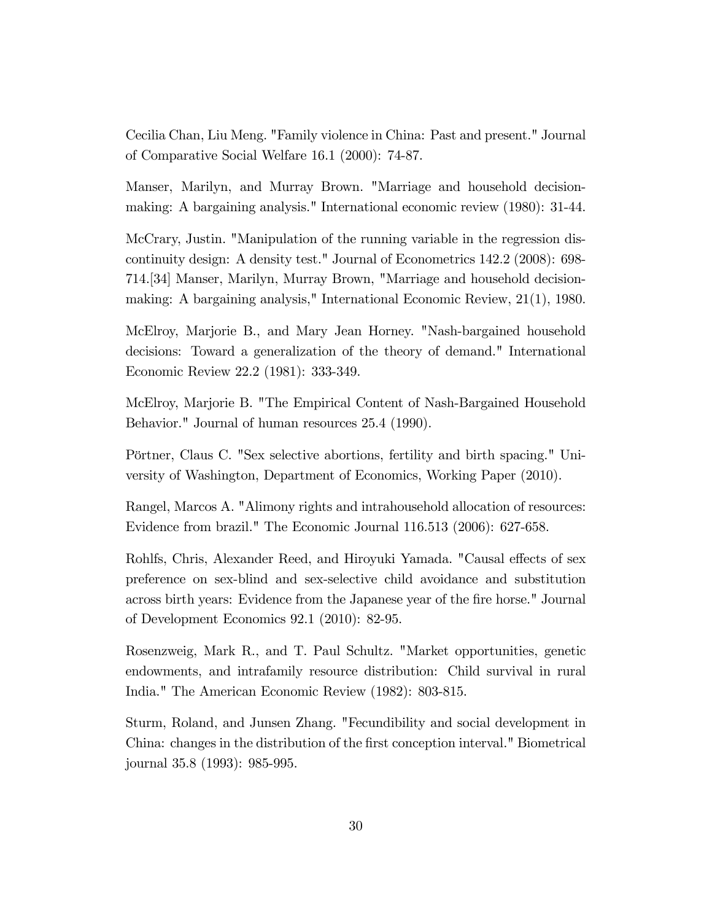Cecilia Chan, Liu Meng. "Family violence in China: Past and present." Journal of Comparative Social Welfare 16.1 (2000): 74-87.

Manser, Marilyn, and Murray Brown. "Marriage and household decisionmaking: A bargaining analysis." International economic review (1980): 31-44.

McCrary, Justin. "Manipulation of the running variable in the regression discontinuity design: A density test." Journal of Econometrics 142.2 (2008): 698- 714.[34] Manser, Marilyn, Murray Brown, "Marriage and household decisionmaking: A bargaining analysis," International Economic Review, 21(1), 1980.

McElroy, Marjorie B., and Mary Jean Horney. "Nash-bargained household decisions: Toward a generalization of the theory of demand." International Economic Review 22.2 (1981): 333-349.

McElroy, Marjorie B. "The Empirical Content of Nash-Bargained Household Behavior." Journal of human resources 25.4 (1990).

Pörtner, Claus C. "Sex selective abortions, fertility and birth spacing." University of Washington, Department of Economics, Working Paper (2010).

Rangel, Marcos A. "Alimony rights and intrahousehold allocation of resources: Evidence from brazil." The Economic Journal 116.513 (2006): 627-658.

Rohlfs, Chris, Alexander Reed, and Hiroyuki Yamada. "Causal effects of sex preference on sex-blind and sex-selective child avoidance and substitution across birth years: Evidence from the Japanese year of the fire horse." Journal of Development Economics 92.1 (2010): 82-95.

Rosenzweig, Mark R., and T. Paul Schultz. "Market opportunities, genetic endowments, and intrafamily resource distribution: Child survival in rural India." The American Economic Review (1982): 803-815.

Sturm, Roland, and Junsen Zhang. "Fecundibility and social development in China: changes in the distribution of the first conception interval." Biometrical journal 35.8 (1993): 985-995.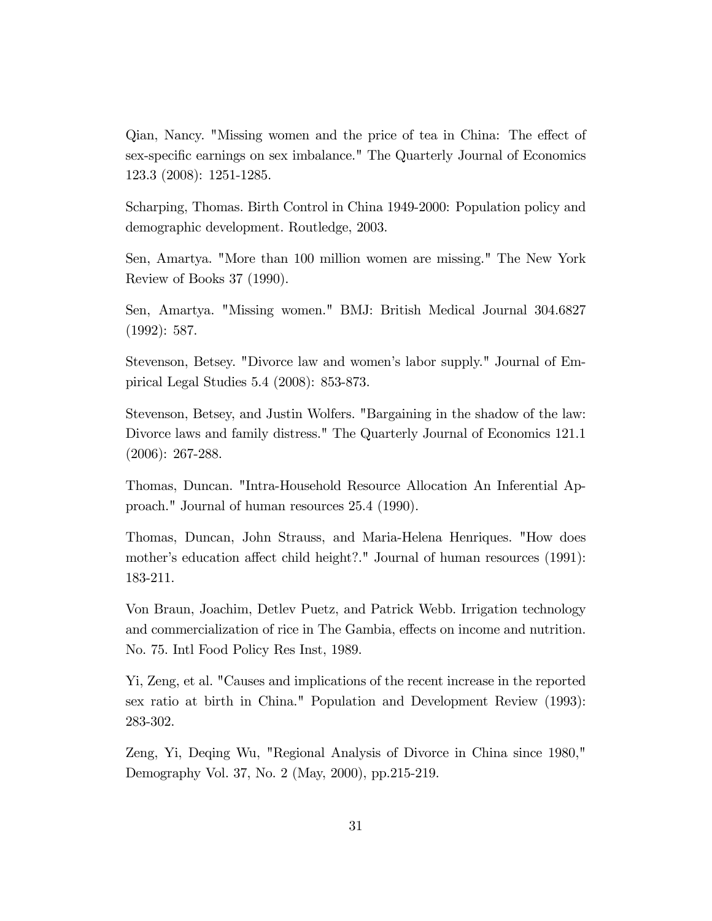Qian, Nancy. "Missing women and the price of tea in China: The effect of sex-specific earnings on sex imbalance." The Quarterly Journal of Economics 123.3 (2008): 1251-1285.

Scharping, Thomas. Birth Control in China 1949-2000: Population policy and demographic development. Routledge, 2003.

Sen, Amartya. "More than 100 million women are missing." The New York Review of Books 37 (1990).

Sen, Amartya. "Missing women." BMJ: British Medical Journal 304.6827 (1992): 587.

Stevenson, Betsey. "Divorce law and women's labor supply." Journal of Empirical Legal Studies 5.4 (2008): 853-873.

Stevenson, Betsey, and Justin Wolfers. "Bargaining in the shadow of the law: Divorce laws and family distress." The Quarterly Journal of Economics 121.1 (2006): 267-288.

Thomas, Duncan. "Intra-Household Resource Allocation An Inferential Approach." Journal of human resources 25.4 (1990).

Thomas, Duncan, John Strauss, and Maria-Helena Henriques. "How does mother's education affect child height?." Journal of human resources (1991): 183-211.

Von Braun, Joachim, Detlev Puetz, and Patrick Webb. Irrigation technology and commercialization of rice in The Gambia, effects on income and nutrition. No. 75. Intl Food Policy Res Inst, 1989.

Yi, Zeng, et al. "Causes and implications of the recent increase in the reported sex ratio at birth in China." Population and Development Review (1993): 283-302.

Zeng, Yi, Deqing Wu, "Regional Analysis of Divorce in China since 1980," Demography Vol. 37, No. 2 (May, 2000), pp.215-219.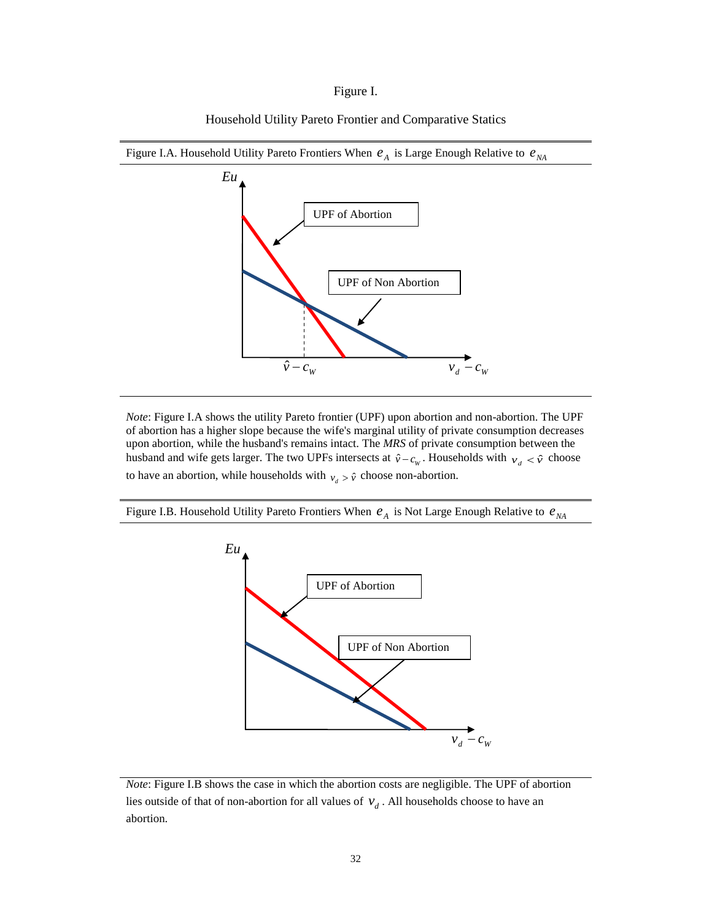#### Figure I.



Household Utility Pareto Frontier and Comparative Statics

*Note*: Figure I.A shows the utility Pareto frontier (UPF) upon abortion and non-abortion. The UPF of abortion has a higher slope because the wife's marginal utility of private consumption decreases upon abortion, while the husband's remains intact. The *MRS* of private consumption between the husband and wife gets larger. The two UPFs intersects at  $\hat{v} - c_w$ . Households with  $v_d < \hat{v}$  choose to have an abortion, while households with  $v_d > \hat{v}$  choose non-abortion.

Figure I.B. Household Utility Pareto Frontiers When  $e_A$  is Not Large Enough Relative to  $e_{NA}$ 



*Note*: Figure I.B shows the case in which the abortion costs are negligible. The UPF of abortion lies outside of that of non-abortion for all values of  $v_d$ . All households choose to have an abortion.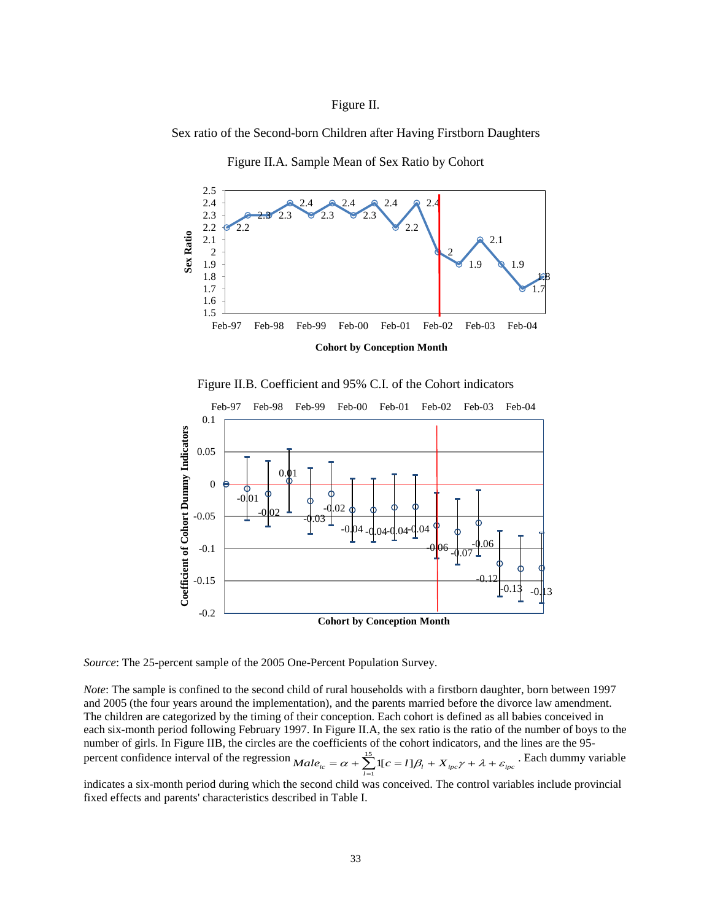#### Figure II.

Sex ratio of the Second-born Children after Having Firstborn Daughters



Figure II.A. Sample Mean of Sex Ratio by Cohort





*Source*: The 25-percent sample of the 2005 One-Percent Population Survey.

*Note*: The sample is confined to the second child of rural households with a firstborn daughter, born between 1997 and 2005 (the four years around the implementation), and the parents married before the divorce law amendment. The children are categorized by the timing of their conception. Each cohort is defined as all babies conceived in each six-month period following February 1997. In Figure II.A, the sex ratio is the ratio of the number of boys to the number of girls. In Figure IIB, the circles are the coefficients of the cohort indicators, and the lines are the 95 percent confidence interval of the regression  $Male_{ic} = \alpha + \sum_{l=1}^{15} 1[c = l]\beta_l + X_{ipc}\gamma + \lambda +$  $Male_{ic} = \alpha + \sum_{l=1}^{15} 1[c = l]\beta_l + X_{ipc}\gamma + \lambda + \varepsilon_{ipc}$ . Each dummy variable

indicates a six-month period during which the second child was conceived. The control variables include provincial fixed effects and parents' characteristics described in Table I.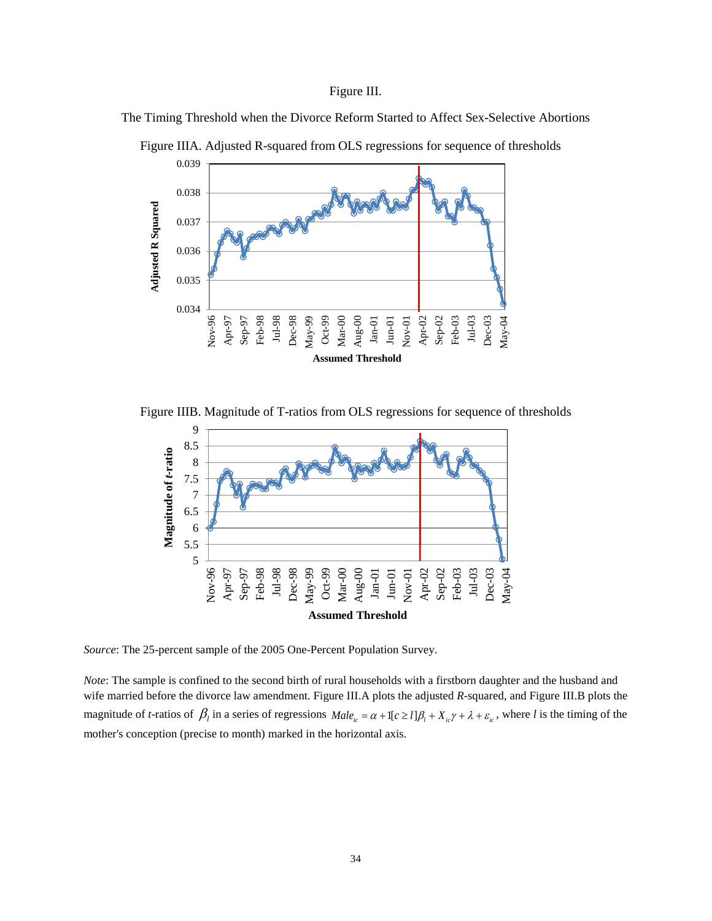#### Figure III.

The Timing Threshold when the Divorce Reform Started to Affect Sex-Selective Abortions



Figure IIIA. Adjusted R-squared from OLS regressions for sequence of thresholds

Figure IIIB. Magnitude of T-ratios from OLS regressions for sequence of thresholds



*Source*: The 25-percent sample of the 2005 One-Percent Population Survey.

*Note*: The sample is confined to the second birth of rural households with a firstborn daughter and the husband and wife married before the divorce law amendment. Figure III.A plots the adjusted *R*-squared, and Figure III.B plots the magnitude of *t*-ratios of  $\beta_l$  in a series of regressions  $Male_{ic} = \alpha + 1[c \ge l]\beta_l + X_{ic}\gamma + \lambda + \varepsilon_{ic}$ , where *l* is the timing of the mother's conception (precise to month) marked in the horizontal axis.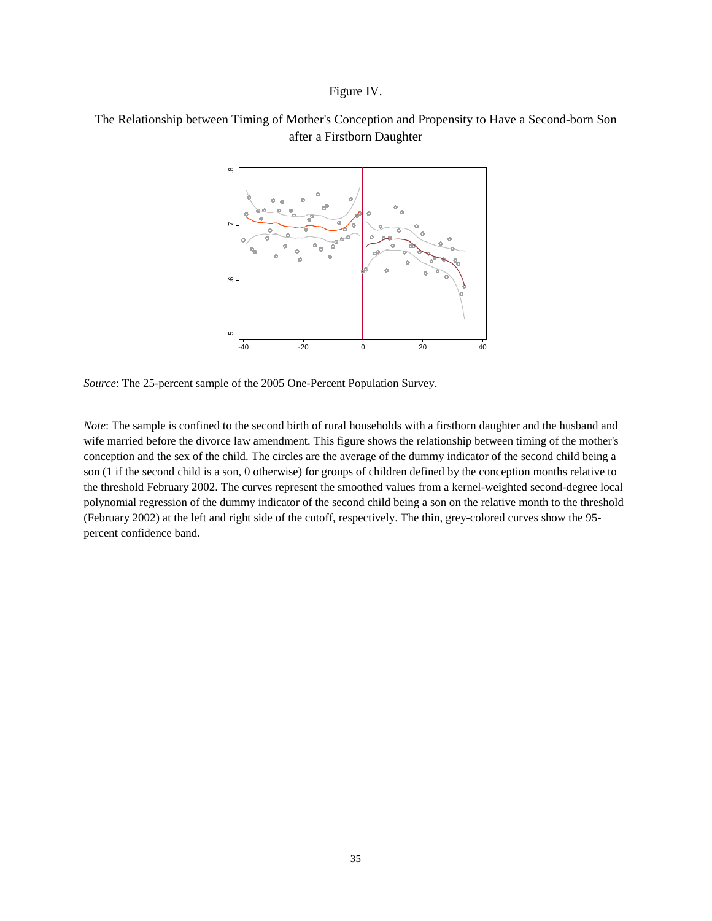#### Figure IV.

### The Relationship between Timing of Mother's Conception and Propensity to Have a Second-born Son after a Firstborn Daughter



*Source*: The 25-percent sample of the 2005 One-Percent Population Survey.

*Note*: The sample is confined to the second birth of rural households with a firstborn daughter and the husband and wife married before the divorce law amendment. This figure shows the relationship between timing of the mother's conception and the sex of the child. The circles are the average of the dummy indicator of the second child being a son (1 if the second child is a son, 0 otherwise) for groups of children defined by the conception months relative to the threshold February 2002. The curves represent the smoothed values from a kernel-weighted second-degree local polynomial regression of the dummy indicator of the second child being a son on the relative month to the threshold (February 2002) at the left and right side of the cutoff, respectively. The thin, grey-colored curves show the 95 percent confidence band.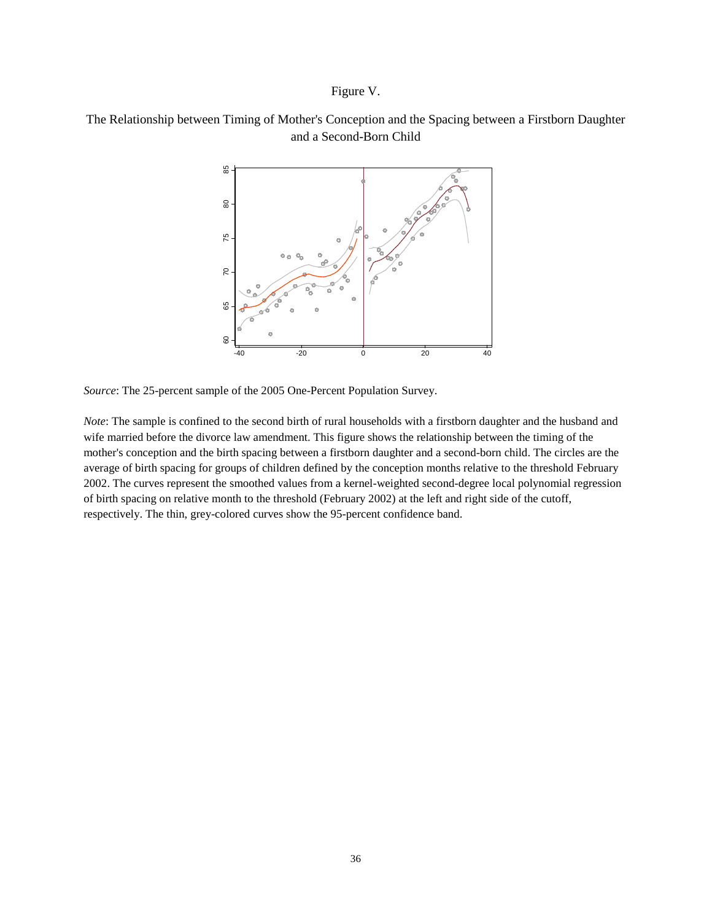### Figure V.

### The Relationship between Timing of Mother's Conception and the Spacing between a Firstborn Daughter and a Second-Born Child



*Source*: The 25-percent sample of the 2005 One-Percent Population Survey.

*Note*: The sample is confined to the second birth of rural households with a firstborn daughter and the husband and wife married before the divorce law amendment. This figure shows the relationship between the timing of the mother's conception and the birth spacing between a firstborn daughter and a second-born child. The circles are the average of birth spacing for groups of children defined by the conception months relative to the threshold February 2002. The curves represent the smoothed values from a kernel-weighted second-degree local polynomial regression of birth spacing on relative month to the threshold (February 2002) at the left and right side of the cutoff,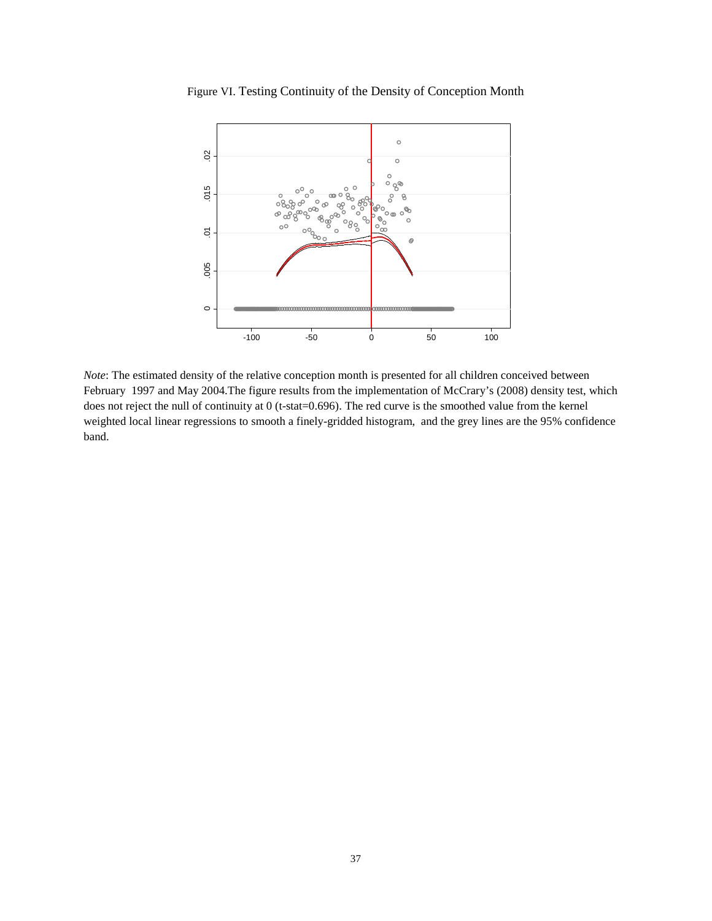Figure VI. Testing Continuity of the Density of Conception Month



*Note*: The estimated density of the relative conception month is presented for all children conceived between February 1997 and May 2004.The figure results from the implementation of McCrary's (2008) density test, which does not reject the null of continuity at 0 (t-stat=0.696). The red curve is the smoothed value from the kernel weighted local linear regressions to smooth a finely-gridded histogram, and the grey lines are the 95% confidence band.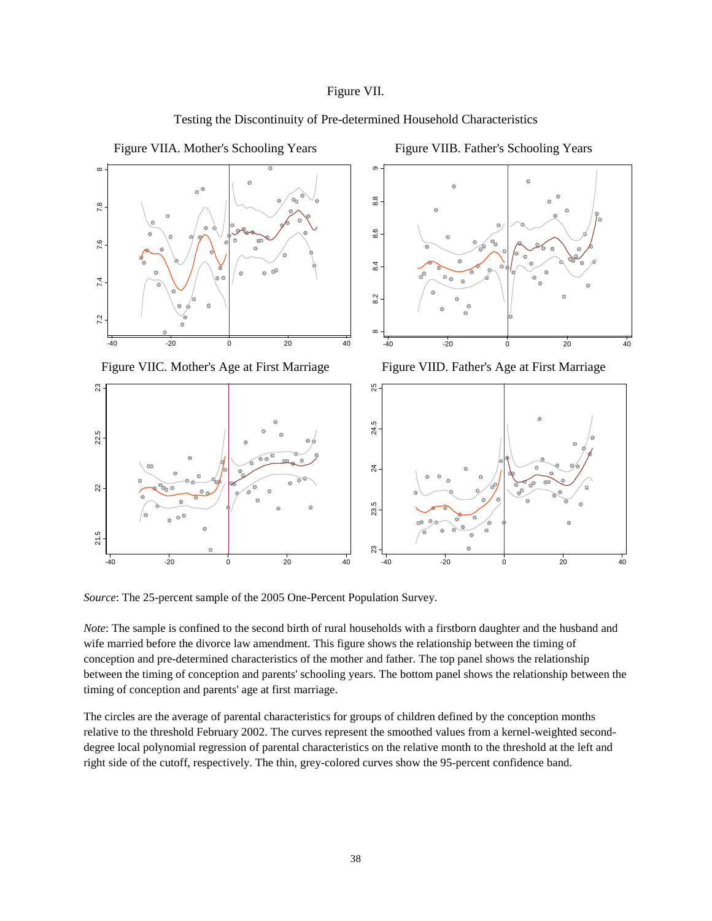### Figure VII.



Testing the Discontinuity of Pre-determined Household Characteristics

*Source*: The 25-percent sample of the 2005 One-Percent Population Survey.

*Note*: The sample is confined to the second birth of rural households with a firstborn daughter and the husband and wife married before the divorce law amendment. This figure shows the relationship between the timing of conception and pre-determined characteristics of the mother and father. The top panel shows the relationship between the timing of conception and parents' schooling years. The bottom panel shows the relationship between the timing of conception and parents' age at first marriage.

The circles are the average of parental characteristics for groups of children defined by the conception months relative to the threshold February 2002. The curves represent the smoothed values from a kernel-weighted seconddegree local polynomial regression of parental characteristics on the relative month to the threshold at the left and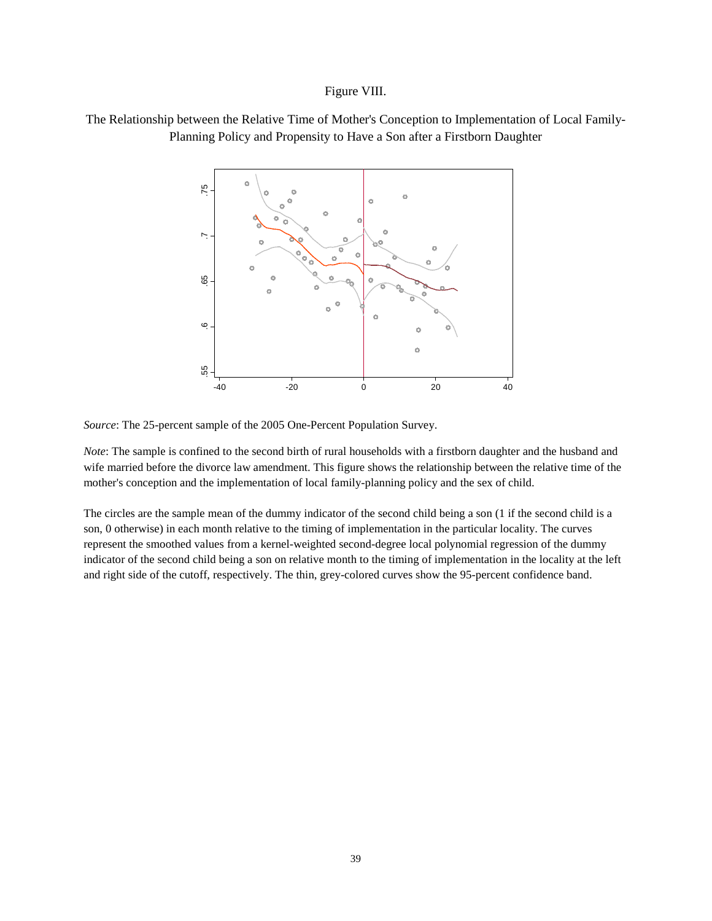#### Figure VIII.





*Source*: The 25-percent sample of the 2005 One-Percent Population Survey.

*Note*: The sample is confined to the second birth of rural households with a firstborn daughter and the husband and wife married before the divorce law amendment. This figure shows the relationship between the relative time of the mother's conception and the implementation of local family-planning policy and the sex of child.

The circles are the sample mean of the dummy indicator of the second child being a son (1 if the second child is a son, 0 otherwise) in each month relative to the timing of implementation in the particular locality. The curves represent the smoothed values from a kernel-weighted second-degree local polynomial regression of the dummy indicator of the second child being a son on relative month to the timing of implementation in the locality at the left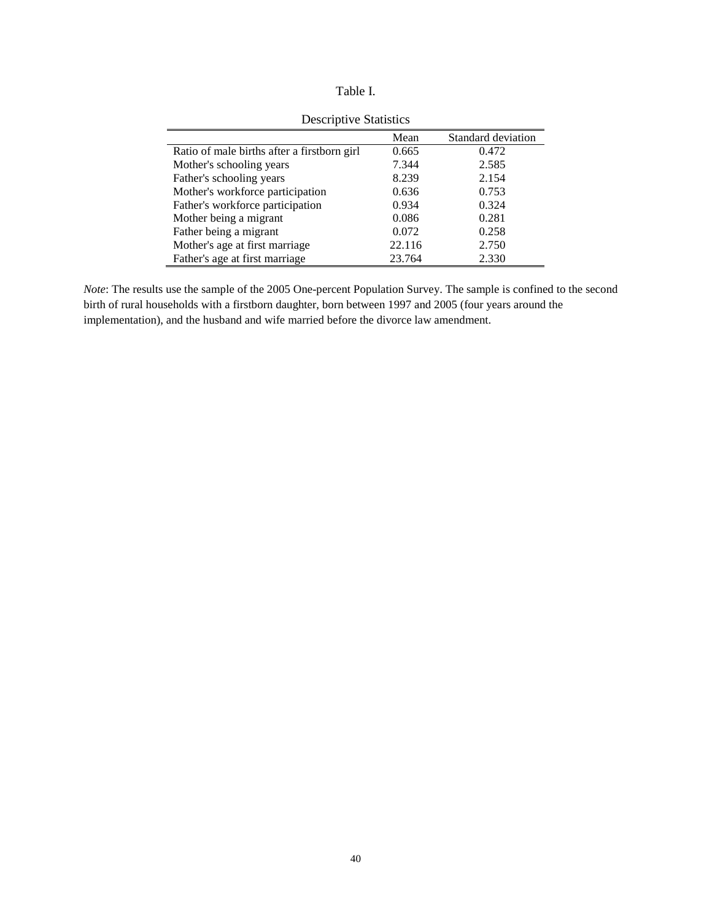| anie |  |
|------|--|
|      |  |

|                                             | Mean   | Standard deviation |
|---------------------------------------------|--------|--------------------|
| Ratio of male births after a firstborn girl | 0.665  | 0.472              |
| Mother's schooling years                    | 7.344  | 2.585              |
| Father's schooling years                    | 8.239  | 2.154              |
| Mother's workforce participation            | 0.636  | 0.753              |
| Father's workforce participation            | 0.934  | 0.324              |
| Mother being a migrant                      | 0.086  | 0.281              |
| Father being a migrant                      | 0.072  | 0.258              |
| Mother's age at first marriage              | 22.116 | 2.750              |
| Father's age at first marriage              | 23.764 | 2.330              |

Descriptive Statistics

*Note*: The results use the sample of the 2005 One-percent Population Survey. The sample is confined to the second birth of rural households with a firstborn daughter, born between 1997 and 2005 (four years around the implementation), and the husband and wife married before the divorce law amendment.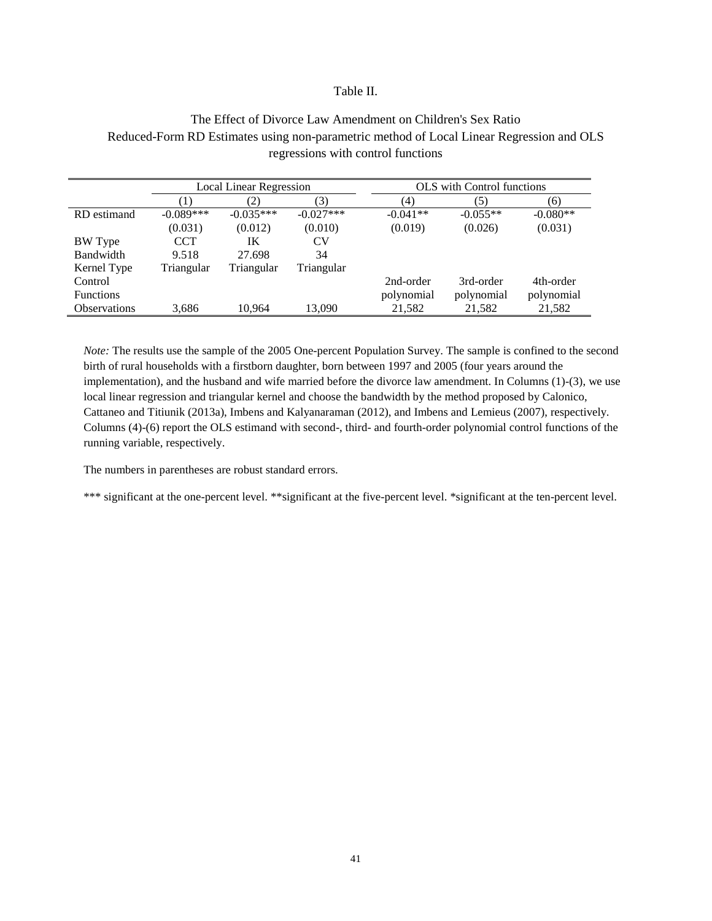#### Table II.

### The Effect of Divorce Law Amendment on Children's Sex Ratio Reduced-Form RD Estimates using non-parametric method of Local Linear Regression and OLS regressions with control functions

|                     | <b>Local Linear Regression</b> |             | <b>OLS</b> with Control functions |            |            |            |
|---------------------|--------------------------------|-------------|-----------------------------------|------------|------------|------------|
|                     | (1)                            | (2)         | (3)                               | (4)        | (5)        | (6)        |
| RD estimand         | $-0.089***$                    | $-0.035***$ | $-0.027***$                       | $-0.041**$ | $-0.055**$ | $-0.080**$ |
|                     | (0.031)                        | (0.012)     | (0.010)                           | (0.019)    | (0.026)    | (0.031)    |
| BW Type             | <b>CCT</b>                     | IK          | CV                                |            |            |            |
| <b>Bandwidth</b>    | 9.518                          | 27.698      | 34                                |            |            |            |
| Kernel Type         | Triangular                     | Triangular  | Triangular                        |            |            |            |
| Control             |                                |             |                                   | 2nd-order  | 3rd-order  | 4th-order  |
| <b>Functions</b>    |                                |             |                                   | polynomial | polynomial | polynomial |
| <b>Observations</b> | 3,686                          | 10.964      | 13.090                            | 21,582     | 21,582     | 21,582     |

*Note:* The results use the sample of the 2005 One-percent Population Survey. The sample is confined to the second birth of rural households with a firstborn daughter, born between 1997 and 2005 (four years around the implementation), and the husband and wife married before the divorce law amendment. In Columns (1)-(3), we use local linear regression and triangular kernel and choose the bandwidth by the method proposed by Calonico, Cattaneo and Titiunik (2013a), Imbens and Kalyanaraman (2012), and Imbens and Lemieus (2007), respectively. Columns (4)-(6) report the OLS estimand with second-, third- and fourth-order polynomial control functions of the running variable, respectively.

The numbers in parentheses are robust standard errors.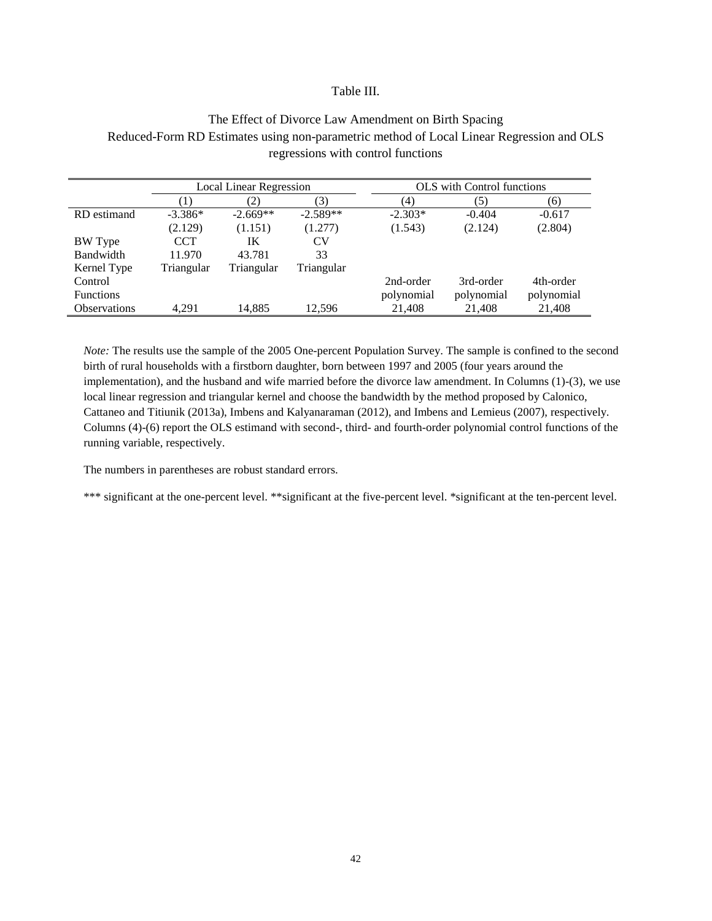#### Table III.

### The Effect of Divorce Law Amendment on Birth Spacing Reduced-Form RD Estimates using non-parametric method of Local Linear Regression and OLS regressions with control functions

|                     | <b>Local Linear Regression</b> |            |            | <b>OLS</b> with Control functions |            |            |  |
|---------------------|--------------------------------|------------|------------|-----------------------------------|------------|------------|--|
|                     | (1)                            | (2)        | (3)        | (4)                               | (5)        | (6)        |  |
| RD estimand         | $-3.386*$                      | $-2.669**$ | $-2.589**$ | $-2.303*$                         | $-0.404$   | $-0.617$   |  |
|                     | (2.129)                        | (1.151)    | (1.277)    | (1.543)                           | (2.124)    | (2.804)    |  |
| BW Type             | <b>CCT</b>                     | IK         | CV         |                                   |            |            |  |
| Bandwidth           | 11.970                         | 43.781     | 33         |                                   |            |            |  |
| Kernel Type         | Triangular                     | Triangular | Triangular |                                   |            |            |  |
| Control             |                                |            |            | 2nd-order                         | 3rd-order  | 4th-order  |  |
| <b>Functions</b>    |                                |            |            | polynomial                        | polynomial | polynomial |  |
| <b>Observations</b> | 4.291                          | 14,885     | 12,596     | 21,408                            | 21,408     | 21,408     |  |

*Note:* The results use the sample of the 2005 One-percent Population Survey. The sample is confined to the second birth of rural households with a firstborn daughter, born between 1997 and 2005 (four years around the implementation), and the husband and wife married before the divorce law amendment. In Columns (1)-(3), we use local linear regression and triangular kernel and choose the bandwidth by the method proposed by Calonico, Cattaneo and Titiunik (2013a), Imbens and Kalyanaraman (2012), and Imbens and Lemieus (2007), respectively. Columns (4)-(6) report the OLS estimand with second-, third- and fourth-order polynomial control functions of the running variable, respectively.

The numbers in parentheses are robust standard errors.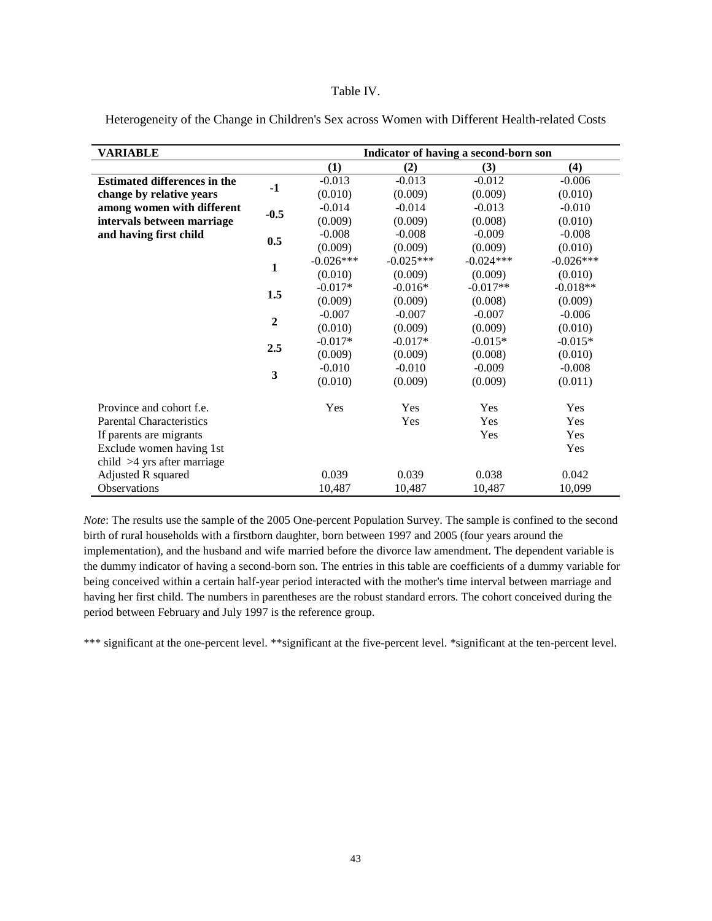#### Table IV.

| <b>VARIABLE</b>                     |                         | Indicator of having a second-born son |             |             |             |  |
|-------------------------------------|-------------------------|---------------------------------------|-------------|-------------|-------------|--|
|                                     |                         | (1)                                   | (2)         | (3)         | (4)         |  |
| <b>Estimated differences in the</b> |                         | $-0.013$                              | $-0.013$    | $-0.012$    | $-0.006$    |  |
| change by relative years            | $-1$                    | (0.010)                               | (0.009)     | (0.009)     | (0.010)     |  |
| among women with different          |                         | $-0.014$                              | $-0.014$    | $-0.013$    | $-0.010$    |  |
| intervals between marriage          | $-0.5$                  | (0.009)                               | (0.009)     | (0.008)     | (0.010)     |  |
| and having first child              |                         | $-0.008$                              | $-0.008$    | $-0.009$    | $-0.008$    |  |
|                                     | 0.5                     | (0.009)                               | (0.009)     | (0.009)     | (0.010)     |  |
|                                     |                         | $-0.026***$                           | $-0.025***$ | $-0.024***$ | $-0.026***$ |  |
|                                     | $\mathbf{1}$            | (0.010)                               | (0.009)     | (0.009)     | (0.010)     |  |
|                                     |                         | $-0.017*$                             | $-0.016*$   | $-0.017**$  | $-0.018**$  |  |
|                                     | 1.5                     | (0.009)                               | (0.009)     | (0.008)     | (0.009)     |  |
|                                     |                         | $-0.007$                              | $-0.007$    | $-0.007$    | $-0.006$    |  |
|                                     | $\overline{2}$          | (0.010)                               | (0.009)     | (0.009)     | (0.010)     |  |
|                                     |                         | $-0.017*$                             | $-0.017*$   | $-0.015*$   | $-0.015*$   |  |
|                                     | 2.5                     | (0.009)                               | (0.009)     | (0.008)     | (0.010)     |  |
|                                     |                         | $-0.010$                              | $-0.010$    | $-0.009$    | $-0.008$    |  |
|                                     | $\overline{\mathbf{3}}$ | (0.010)                               | (0.009)     | (0.009)     | (0.011)     |  |
| Province and cohort f.e.            |                         | Yes                                   | Yes         | Yes         | Yes         |  |
| <b>Parental Characteristics</b>     |                         |                                       | Yes         | Yes         | Yes         |  |
| If parents are migrants             |                         |                                       |             | Yes         | Yes         |  |
| Exclude women having 1st            |                         |                                       |             |             | Yes         |  |
| child $>4$ yrs after marriage       |                         |                                       |             |             |             |  |
| Adjusted R squared                  |                         | 0.039                                 | 0.039       | 0.038       | 0.042       |  |
| Observations                        |                         | 10,487                                | 10,487      | 10,487      | 10,099      |  |

Heterogeneity of the Change in Children's Sex across Women with Different Health-related Costs

*Note*: The results use the sample of the 2005 One-percent Population Survey. The sample is confined to the second birth of rural households with a firstborn daughter, born between 1997 and 2005 (four years around the implementation), and the husband and wife married before the divorce law amendment. The dependent variable is the dummy indicator of having a second-born son. The entries in this table are coefficients of a dummy variable for being conceived within a certain half-year period interacted with the mother's time interval between marriage and having her first child. The numbers in parentheses are the robust standard errors. The cohort conceived during the period between February and July 1997 is the reference group.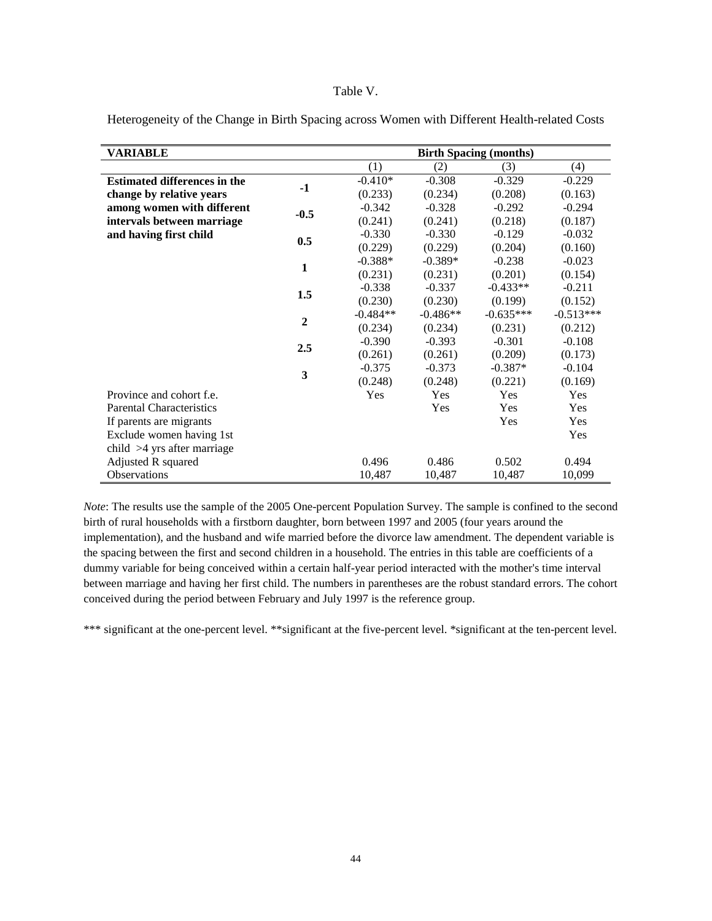#### Table V.

| VARIABLE                            |                | <b>Birth Spacing (months)</b> |            |             |             |
|-------------------------------------|----------------|-------------------------------|------------|-------------|-------------|
|                                     |                | (1)                           | (2)        | (3)         | (4)         |
| <b>Estimated differences in the</b> |                | $-0.410*$                     | $-0.308$   | $-0.329$    | $-0.229$    |
| change by relative years            | $-1$           | (0.233)                       | (0.234)    | (0.208)     | (0.163)     |
| among women with different          |                | $-0.342$                      | $-0.328$   | $-0.292$    | $-0.294$    |
| intervals between marriage          | $-0.5$         | (0.241)                       | (0.241)    | (0.218)     | (0.187)     |
| and having first child              |                | $-0.330$                      | $-0.330$   | $-0.129$    | $-0.032$    |
|                                     | 0.5            | (0.229)                       | (0.229)    | (0.204)     | (0.160)     |
|                                     | $\mathbf{1}$   | $-0.388*$                     | $-0.389*$  | $-0.238$    | $-0.023$    |
|                                     |                | (0.231)                       | (0.231)    | (0.201)     | (0.154)     |
|                                     | 1.5            | $-0.338$                      | $-0.337$   | $-0.433**$  | $-0.211$    |
|                                     |                | (0.230)                       | (0.230)    | (0.199)     | (0.152)     |
|                                     | $\overline{2}$ | $-0.484**$                    | $-0.486**$ | $-0.635***$ | $-0.513***$ |
|                                     |                | (0.234)                       | (0.234)    | (0.231)     | (0.212)     |
|                                     | 2.5            | $-0.390$                      | $-0.393$   | $-0.301$    | $-0.108$    |
|                                     |                | (0.261)                       | (0.261)    | (0.209)     | (0.173)     |
|                                     | 3              | $-0.375$                      | $-0.373$   | $-0.387*$   | $-0.104$    |
|                                     |                | (0.248)                       | (0.248)    | (0.221)     | (0.169)     |
| Province and cohort f.e.            |                | Yes                           | Yes        | Yes         | Yes         |
| <b>Parental Characteristics</b>     |                |                               | Yes        | Yes         | Yes         |
| If parents are migrants             |                |                               |            | Yes         | Yes         |
| Exclude women having 1st            |                |                               |            |             | Yes         |
| child $>4$ yrs after marriage       |                |                               |            |             |             |
| Adjusted R squared                  |                | 0.496                         | 0.486      | 0.502       | 0.494       |
| Observations                        |                | 10,487                        | 10,487     | 10,487      | 10,099      |

Heterogeneity of the Change in Birth Spacing across Women with Different Health-related Costs

*Note*: The results use the sample of the 2005 One-percent Population Survey. The sample is confined to the second birth of rural households with a firstborn daughter, born between 1997 and 2005 (four years around the implementation), and the husband and wife married before the divorce law amendment. The dependent variable is the spacing between the first and second children in a household. The entries in this table are coefficients of a dummy variable for being conceived within a certain half-year period interacted with the mother's time interval between marriage and having her first child. The numbers in parentheses are the robust standard errors. The cohort conceived during the period between February and July 1997 is the reference group.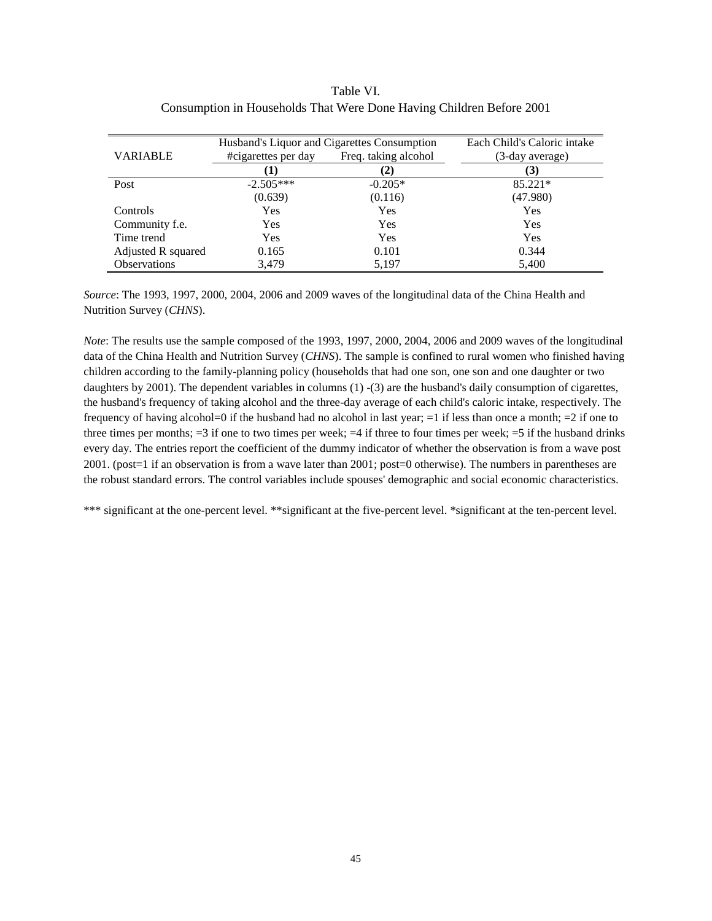### Table VI. Consumption in Households That Were Done Having Children Before 2001

|                     | Husband's Liquor and Cigarettes Consumption | Each Child's Caloric intake |                 |
|---------------------|---------------------------------------------|-----------------------------|-----------------|
| VARIABLE            | Freq. taking alcohol<br>#cigarettes per day |                             | (3-day average) |
|                     |                                             | (2)                         | (3)             |
| Post                | $-2.505***$                                 | $-0.205*$                   | 85.221*         |
|                     | (0.639)                                     | (0.116)                     | (47.980)        |
| Controls            | Yes                                         | Yes                         | Yes             |
| Community f.e.      | Yes                                         | Yes                         | Yes             |
| Time trend          | Yes                                         | Yes                         | Yes             |
| Adjusted R squared  | 0.165                                       | 0.101                       | 0.344           |
| <b>Observations</b> | 3,479                                       | 5,197                       | 5,400           |

*Source*: The 1993, 1997, 2000, 2004, 2006 and 2009 waves of the longitudinal data of the China Health and Nutrition Survey (*CHNS*).

*Note*: The results use the sample composed of the 1993, 1997, 2000, 2004, 2006 and 2009 waves of the longitudinal data of the China Health and Nutrition Survey (*CHNS*). The sample is confined to rural women who finished having children according to the family-planning policy (households that had one son, one son and one daughter or two daughters by 2001). The dependent variables in columns (1) -(3) are the husband's daily consumption of cigarettes, the husband's frequency of taking alcohol and the three-day average of each child's caloric intake, respectively. The frequency of having alcohol=0 if the husband had no alcohol in last year;  $=1$  if less than once a month;  $=2$  if one to three times per months;  $=3$  if one to two times per week;  $=4$  if three to four times per week;  $=5$  if the husband drinks every day. The entries report the coefficient of the dummy indicator of whether the observation is from a wave post 2001. (post=1 if an observation is from a wave later than 2001; post=0 otherwise). The numbers in parentheses are the robust standard errors. The control variables include spouses' demographic and social economic characteristics.